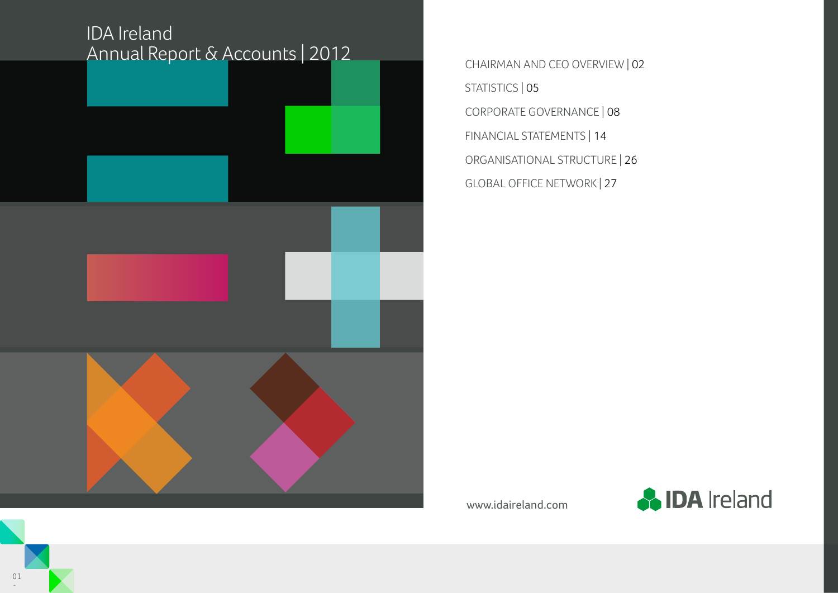# IDA Ireland Annual Report & Accounts | 2012



STATISTICS | 05 CORPORATE GOVERNANCE | 08 FINANCIAL STATEMENTS | 14 ORGANISATIONAL STRUCTURE | 26 GLOBAL OFFICE NETWORK | 27

www.idaireland.com

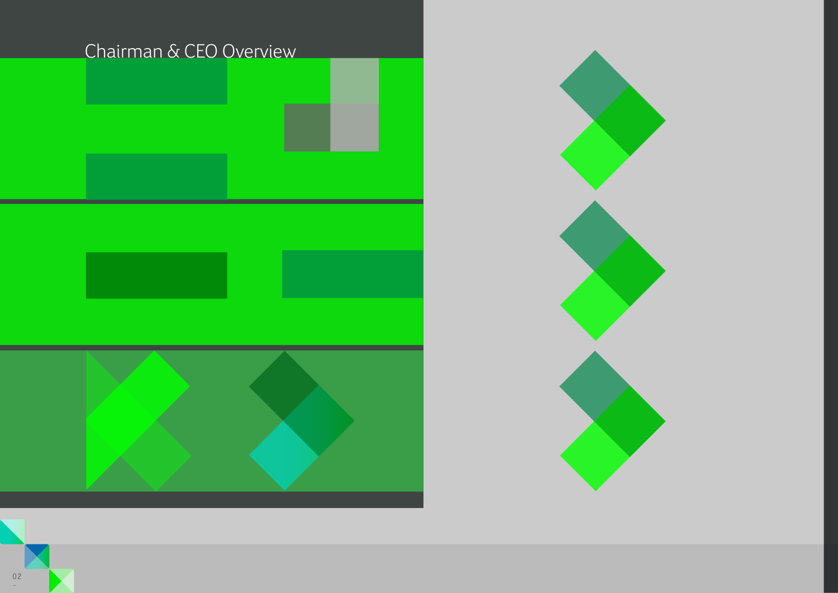



-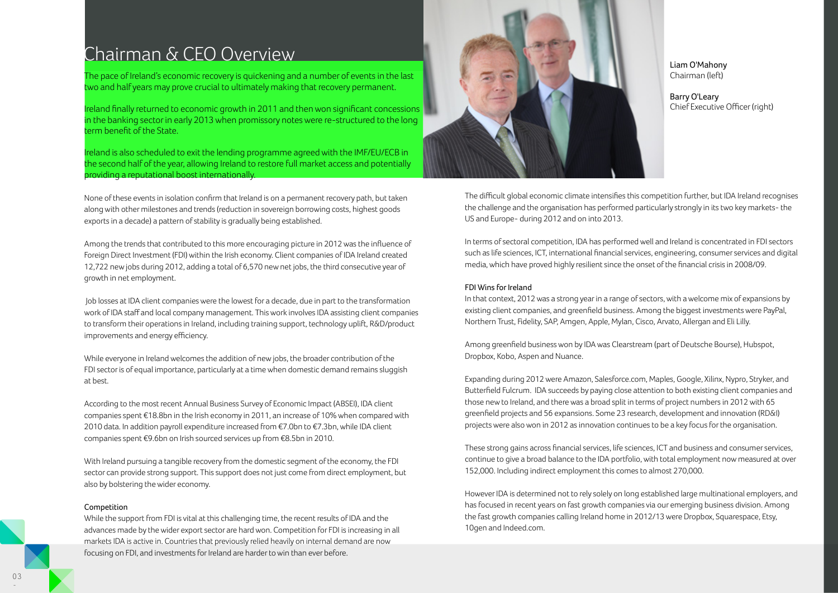## Chairman & CEO Overview

The pace of Ireland's economic recovery is quickening and a number of events in the last two and half years may prove crucial to ultimately making that recovery permanent.

Ireland finally returned to economic growth in 2011 and then won significant concessions in the banking sector in early 2013 when promissory notes were re-structured to the long term benefit of the State.

Ireland is also scheduled to exit the lending programme agreed with the IMF/EU/ECB in the second half of the year, allowing Ireland to restore full market access and potentially providing a reputational boost internationally.

None of these events in isolation confirm that Ireland is on a permanent recovery path, but taken along with other milestones and trends (reduction in sovereign borrowing costs, highest goods exports in a decade) a pattern of stability is gradually being established.

Among the trends that contributed to this more encouraging picture in 2012 was the influence of Foreign Direct Investment (FDI) within the Irish economy. Client companies of IDA Ireland created 12,722 new jobs during 2012, adding a total of 6,570 new net jobs, the third consecutive year of growth in net employment.

 Job losses at IDA client companies were the lowest for a decade, due in part to the transformation work of IDA staff and local company management. This work involves IDA assisting client companies to transform their operations in Ireland, including training support, technology uplift, R&D/product improvements and energy efficiency.

While everyone in Ireland welcomes the addition of new jobs, the broader contribution of the FDI sector is of equal importance, particularly at a time when domestic demand remains sluggish at best.

According to the most recent Annual Business Survey of Economic Impact (ABSEI), IDA client companies spent €18.8bn in the Irish economy in 2011, an increase of 10% when compared with 2010 data. In addition payroll expenditure increased from €7.0bn to €7.3bn, while IDA client companies spent €9.6bn on Irish sourced services up from €8.5bn in 2010.

With Ireland pursuing a tangible recovery from the domestic segment of the economy, the FDI sector can provide strong support. This support does not just come from direct employment, but also by bolstering the wider economy.

#### Competition

While the support from FDI is vital at this challenging time, the recent results of IDA and the advances made by the wider export sector are hard won. Competition for FDI is increasing in all markets IDA is active in. Countries that previously relied heavily on internal demand are now focusing on FDI, and investments for Ireland are harder to win than ever before.



Liam O'Mahony Chairman (left)

Barry O'Leary Chief Executive Officer (right)

The difficult global economic climate intensifies this competition further, but IDA Ireland recognises the challenge and the organisation has performed particularly strongly in its two key markets- the US and Europe- during 2012 and on into 2013.

In terms of sectoral competition, IDA has performed well and Ireland is concentrated in FDI sectors such as life sciences, ICT, international financial services, engineering, consumer services and digital media, which have proved highly resilient since the onset of the financial crisis in 2008/09.

### FDI Wins for Ireland

In that context, 2012 was a strong year in a range of sectors, with a welcome mix of expansions by existing client companies, and greenfield business. Among the biggest investments were PayPal, Northern Trust, Fidelity, SAP, Amgen, Apple, Mylan, Cisco, Arvato, Allergan and Eli Lilly.

Among greenfield business won by IDA was Clearstream (part of Deutsche Bourse), Hubspot, Dropbox, Kobo, Aspen and Nuance.

Expanding during 2012 were Amazon, Salesforce.com, Maples, Google, Xilinx, Nypro, Stryker, and Butterfield Fulcrum. IDA succeeds by paying close attention to both existing client companies and those new to Ireland, and there was a broad split in terms of project numbers in 2012 with 65 greenfield projects and 56 expansions. Some 23 research, development and innovation (RD&I) projects were also won in 2012 as innovation continues to be a key focus for the organisation.

These strong gains across financial services, life sciences, ICT and business and consumer services, continue to give a broad balance to the IDA portfolio, with total employment now measured at over 152,000. Including indirect employment this comes to almost 270,000.

However IDA is determined not to rely solely on long established large multinational employers, and has focused in recent years on fast growth companies via our emerging business division. Among the fast growth companies calling Ireland home in 2012/13 were Dropbox, Squarespace, Etsy, 10gen and Indeed.com.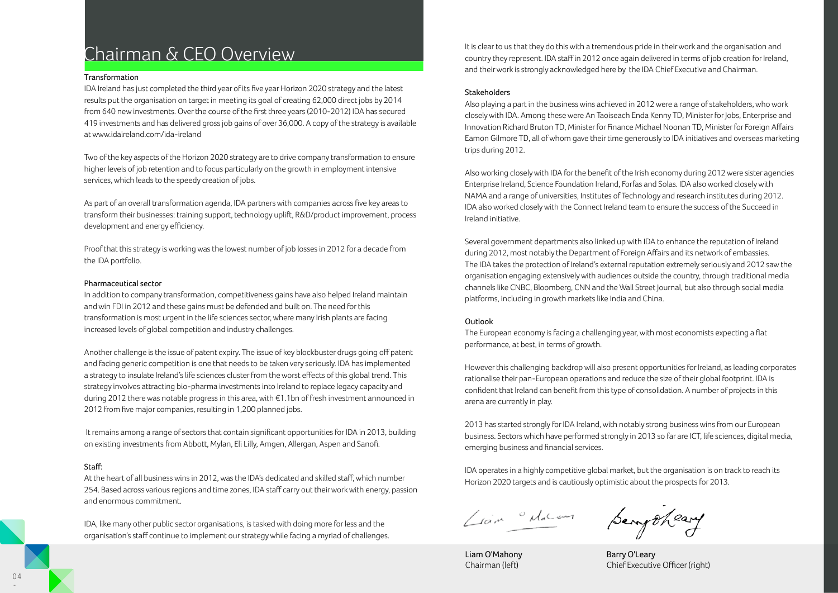## Chairman & CEO Overview

### Transformation

IDA Ireland has just completed the third year of its five year Horizon 2020 strategy and the latest results put the organisation on target in meeting its goal of creating 62,000 direct jobs by 2014 from 640 new investments. Over the course of the first three years (2010-2012) IDA has secured 419 investments and has delivered gross job gains of over 36,000. A copy of the strategy is available at www.idaireland.com/ida-ireland

Two of the key aspects of the Horizon 2020 strategy are to drive company transformation to ensure higher levels of job retention and to focus particularly on the growth in employment intensive services, which leads to the speedy creation of jobs.

As part of an overall transformation agenda, IDA partners with companies across five key areas to transform their businesses: training support, technology uplift, R&D/product improvement, process development and energy efficiency.

Proof that this strategy is working was the lowest number of job losses in 2012 for a decade from the IDA portfolio.

### Pharmaceutical sector

In addition to company transformation, competitiveness gains have also helped Ireland maintain and win FDI in 2012 and these gains must be defended and built on. The need for this transformation is most urgent in the life sciences sector, where many Irish plants are facing increased levels of global competition and industry challenges.

Another challenge is the issue of patent expiry. The issue of key blockbuster drugs going off patent and facing generic competition is one that needs to be taken very seriously. IDA has implemented a strategy to insulate Ireland's life sciences cluster from the worst effects of this global trend. This strategy involves attracting bio-pharma investments into Ireland to replace legacy capacity and during 2012 there was notable progress in this area, with €1.1bn of fresh investment announced in 2012 from five major companies, resulting in 1,200 planned jobs.

 It remains among a range of sectors that contain significant opportunities for IDA in 2013, building on existing investments from Abbott, Mylan, Eli Lilly, Amgen, Allergan, Aspen and Sanofi.

### Staff:

At the heart of all business wins in 2012, was the IDA's dedicated and skilled staff, which number 254. Based across various regions and time zones, IDA staff carry out their work with energy, passion and enormous commitment.

IDA, like many other public sector organisations, is tasked with doing more for less and the organisation's staff continue to implement our strategy while facing a myriad of challenges.

It is clear to us that they do this with a tremendous pride in their work and the organisation and country they represent. IDA staff in 2012 once again delivered in terms of job creation for Ireland, and their work is strongly acknowledged here by the IDA Chief Executive and Chairman.

### Stakeholders

Also playing a part in the business wins achieved in 2012 were a range of stakeholders, who work closely with IDA. Among these were An Taoiseach Enda Kenny TD, Minister for Jobs, Enterprise and Innovation Richard Bruton TD, Minister for Finance Michael Noonan TD, Minister for Foreign Affairs Eamon Gilmore TD, all of whom gave their time generously to IDA initiatives and overseas marketing trips during 2012.

Also working closely with IDA for the benefit of the Irish economy during 2012 were sister agencies Enterprise Ireland, Science Foundation Ireland, Forfas and Solas. IDA also worked closely with NAMA and a range of universities, Institutes of Technology and research institutes during 2012. IDA also worked closely with the Connect Ireland team to ensure the success of the Succeed in Ireland initiative.

Several government departments also linked up with IDA to enhance the reputation of Ireland during 2012, most notably the Department of Foreign Affairs and its network of embassies. The IDA takes the protection of Ireland's external reputation extremely seriously and 2012 saw the organisation engaging extensively with audiences outside the country, through traditional media channels like CNBC, Bloomberg, CNN and the Wall Street Journal, but also through social media platforms, including in growth markets like India and China.

### Outlook

The European economy is facing a challenging year, with most economists expecting a flat performance, at best, in terms of growth.

However this challenging backdrop will also present opportunities for Ireland, as leading corporates rationalise their pan-European operations and reduce the size of their global footprint. IDA is confident that Ireland can benefit from this type of consolidation. A number of projects in this arena are currently in play.

2013 has started strongly for IDA Ireland, with notably strong business wins from our European business. Sectors which have performed strongly in 2013 so far are ICT, life sciences, digital media, emerging business and financial services.

IDA operates in a highly competitive global market, but the organisation is on track to reach its Horizon 2020 targets and is cautiously optimistic about the prospects for 2013.

Liam de

Liam O'Mahony Chairman (left)

Serry theary

Barry O'Leary Chief Executive Officer (right)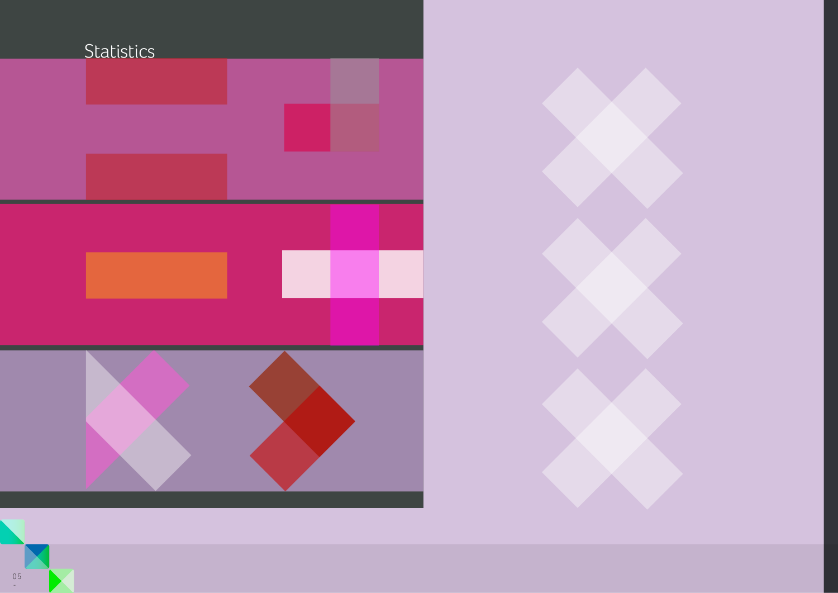

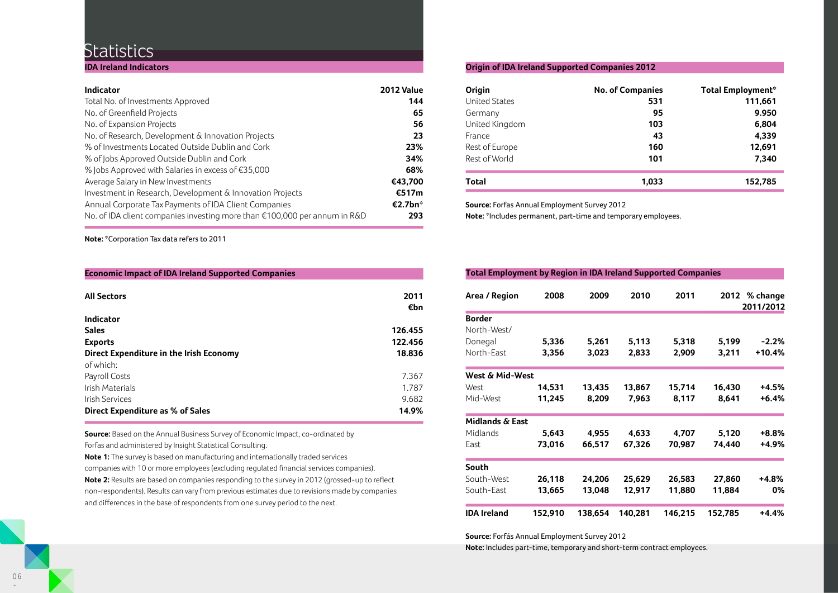### **Statistics**

**IDA Ireland Indicators**

| <b>Indicator</b>                                                                    | 2012 Value          |
|-------------------------------------------------------------------------------------|---------------------|
| Total No. of Investments Approved                                                   | 144                 |
| No. of Greenfield Projects                                                          | 65                  |
| No. of Expansion Projects                                                           | 56                  |
| No. of Research, Development & Innovation Projects                                  | 23                  |
| % of Investments Located Outside Dublin and Cork                                    | 23%                 |
| % of Jobs Approved Outside Dublin and Cork                                          | 34%                 |
| % Jobs Approved with Salaries in excess of $£35,000$                                | 68%                 |
| Average Salary in New Investments                                                   | €43,700             |
| Investment in Research, Development & Innovation Projects                           | €517m               |
| Annual Corporate Tax Payments of IDA Client Companies                               | €2.7bn <sup>*</sup> |
| No. of IDA client companies investing more than $\epsilon$ 100,000 per annum in R&D | 293                 |
|                                                                                     |                     |

**Note:** \*Corporation Tax data refers to 2011

**Economic Impact of IDA Ireland Supported Companies**

| <b>All Sectors</b>                      | 2011    |
|-----------------------------------------|---------|
|                                         | €bn     |
| <b>Indicator</b>                        |         |
| <b>Sales</b>                            | 126.455 |
| <b>Exports</b>                          | 122.456 |
| Direct Expenditure in the Irish Economy | 18.836  |
| of which:                               |         |
| Payroll Costs                           | 7.367   |
| Irish Materials                         | 1.787   |
| Irish Services                          | 9.682   |
| Direct Expenditure as % of Sales        | 14.9%   |

**Source:** Based on the Annual Business Survey of Economic Impact, co-ordinated by Forfas and administered by Insight Statistical Consulting.

**Note 1:** The survey is based on manufacturing and internationally traded services

companies with 10 or more employees (excluding regulated financial services companies). **Note 2:** Results are based on companies responding to the survey in 2012 (grossed-up to reflect non-respondents). Results can vary from previous estimates due to revisions made by companies and differences in the base of respondents from one survey period to the next.

### **Origin of IDA Ireland Supported Companies 2012**

| Origin               | <b>No. of Companies</b> | <b>Total Employment*</b> |
|----------------------|-------------------------|--------------------------|
| <b>United States</b> | 531                     | 111,661                  |
| Germany              | 95                      | 9.950                    |
| United Kingdom       | 103                     | 6,804                    |
| France               | 43                      | 4.339                    |
| Rest of Europe       | 160                     | 12,691                   |
| Rest of World        | 101                     | 7.340                    |
| Total                | 1.033                   | 152,785                  |
|                      |                         |                          |

**Source:** Forfas Annual Employment Survey 2012

**Note:** \*Includes permanent, part-time and temporary employees.

### **Total Employment by Region in IDA Ireland Supported Companies**

| Area / Region              | 2008    | 2009    | 2010    | 2011    | 2012    | % change<br>2011/2012 |
|----------------------------|---------|---------|---------|---------|---------|-----------------------|
| <b>Border</b>              |         |         |         |         |         |                       |
| North-West/                |         |         |         |         |         |                       |
| Donegal                    | 5,336   | 5,261   | 5,113   | 5,318   | 5,199   | $-2.2\%$              |
| North-East                 | 3,356   | 3,023   | 2,833   | 2,909   | 3,211   | +10.4%                |
| West & Mid-West            |         |         |         |         |         |                       |
| West                       | 14,531  | 13,435  | 13,867  | 15,714  | 16,430  | +4.5%                 |
| Mid-West                   | 11,245  | 8,209   | 7,963   | 8,117   | 8,641   | $+6.4%$               |
| <b>Midlands &amp; East</b> |         |         |         |         |         |                       |
| Midlands                   | 5,643   | 4,955   | 4,633   | 4,707   | 5,120   | +8.8%                 |
| East                       | 73,016  | 66,517  | 67,326  | 70,987  | 74,440  | +4.9%                 |
| South                      |         |         |         |         |         |                       |
| South-West                 | 26,118  | 24,206  | 25,629  | 26,583  | 27,860  | +4.8%                 |
| South-East                 | 13,665  | 13,048  | 12,917  | 11,880  | 11,884  | 0%                    |
| <b>IDA Ireland</b>         | 152,910 | 138,654 | 140,281 | 146,215 | 152,785 | $+4.4%$               |

**Source:** Forfás Annual Employment Survey 2012

**Note:** Includes part-time, temporary and short-term contract employees.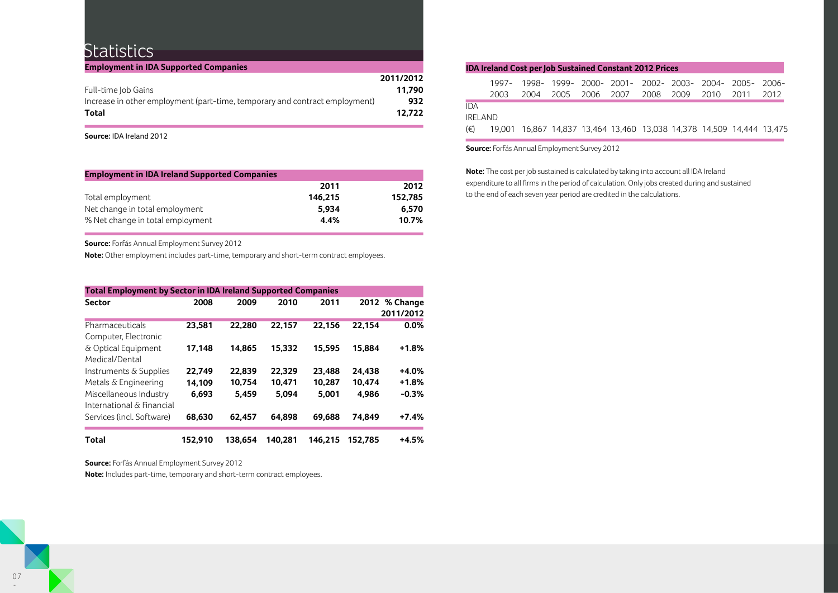### **Statistics**

| <b>Employment in IDA Supported Companies</b>                                |           |
|-----------------------------------------------------------------------------|-----------|
|                                                                             | 2011/2012 |
| Full-time Job Gains                                                         | 11.790    |
| Increase in other employment (part-time, temporary and contract employment) | 932       |
| Total                                                                       | 12.722    |

**Source:** IDA Ireland 2012

| <b>Employment in IDA Ireland Supported Companies</b> |         |         |  |  |  |  |
|------------------------------------------------------|---------|---------|--|--|--|--|
|                                                      | 2011    | 2012    |  |  |  |  |
| Total employment                                     | 146.215 | 152.785 |  |  |  |  |
| Net change in total employment                       | 5.934   | 6.570   |  |  |  |  |
| % Net change in total employment                     | 4.4%    | 10.7%   |  |  |  |  |

**Source:** Forfás Annual Employment Survey 2012

**Note:** Other employment includes part-time, temporary and short-term contract employees.

| <b>Total Employment by Sector in IDA Ireland Supported Companies</b> |         |         |         |         |         |                            |  |  |
|----------------------------------------------------------------------|---------|---------|---------|---------|---------|----------------------------|--|--|
| <b>Sector</b>                                                        | 2008    | 2009    | 2010    | 2011    |         | 2012 % Change<br>2011/2012 |  |  |
| Pharmaceuticals<br>Computer, Electronic                              | 23.581  | 22.280  | 22.157  | 22,156  | 22.154  | $0.0\%$                    |  |  |
| & Optical Equipment<br>Medical/Dental                                | 17,148  | 14.865  | 15.332  | 15.595  | 15.884  | $+1.8%$                    |  |  |
| Instruments & Supplies                                               | 22.749  | 22.839  | 22.329  | 23,488  | 24.438  | $+4.0%$                    |  |  |
| Metals & Engineering                                                 | 14.109  | 10.754  | 10.471  | 10.287  | 10.474  | $+1.8%$                    |  |  |
| Miscellaneous Industry<br>International & Financial                  | 6.693   | 5.459   | 5.094   | 5.001   | 4.986   | $-0.3%$                    |  |  |
| Services (incl. Software)                                            | 68.630  | 62.457  | 64.898  | 69.688  | 74.849  | $+7.4%$                    |  |  |
| Total                                                                | 152.910 | 138.654 | 140.281 | 146.215 | 152.785 | $+4.5%$                    |  |  |

**Source:** Forfás Annual Employment Survey 2012

**Note:** Includes part-time, temporary and short-term contract employees.

### **IDA Ireland Cost per Job Sustained Constant 2012 Prices**

|          |                                                                       |  | 1997- 1998- 1999- 2000- 2001- 2002- 2003- 2004- 2005- 2006- |  |  |  |
|----------|-----------------------------------------------------------------------|--|-------------------------------------------------------------|--|--|--|
|          |                                                                       |  | 2003 2004 2005 2006 2007 2008 2009 2010 2011 2012           |  |  |  |
| IDA      |                                                                       |  |                                                             |  |  |  |
| IRFI AND |                                                                       |  |                                                             |  |  |  |
| (€)      | 19,001 16,867 14,837 13,464 13,460 13,038 14,378 14,509 14,444 13,475 |  |                                                             |  |  |  |

**Source:** Forfás Annual Employment Survey 2012

**Note:** The cost per job sustained is calculated by taking into account all IDA Ireland expenditure to all firms in the period of calculation. Only jobs created during and sustained to the end of each seven year period are credited in the calculations.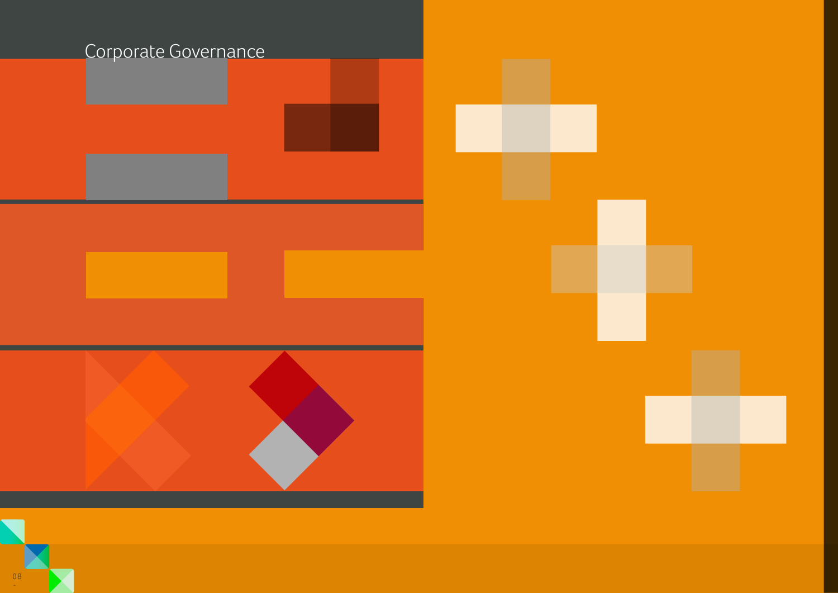

08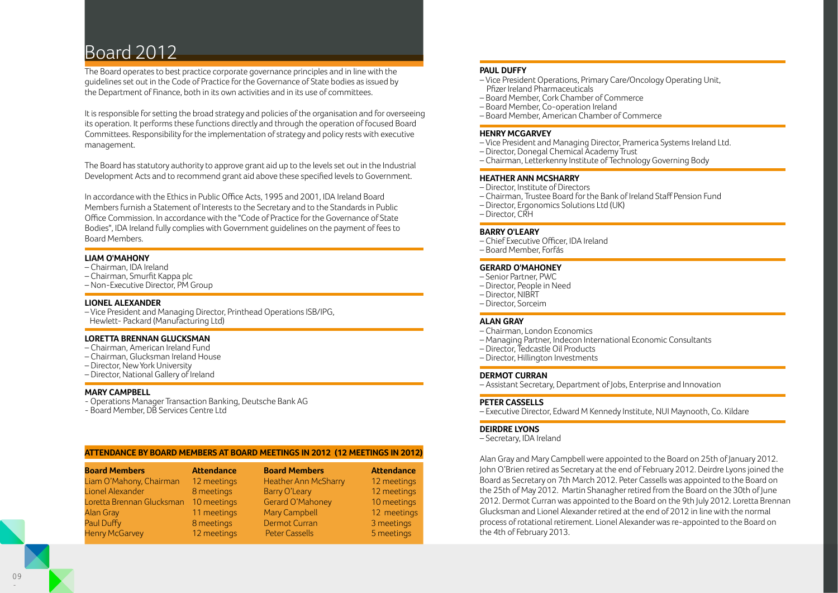# Board 2012

The Board operates to best practice corporate governance principles and in line with the guidelines set out in the Code of Practice for the Governance of State bodies as issued by the Department of Finance, both in its own activities and in its use of committees.

It is responsible for setting the broad strategy and policies of the organisation and for overseeing its operation. It performs these functions directly and through the operation of focused Board Committees. Responsibility for the implementation of strategy and policy rests with executive management.

The Board has statutory authority to approve grant aid up to the levels set out in the Industrial Development Acts and to recommend grant aid above these specified levels to Government.

In accordance with the Ethics in Public Office Acts, 1995 and 2001, IDA Ireland Board Members furnish a Statement of Interests to the Secretary and to the Standards in Public Office Commission. In accordance with the "Code of Practice for the Governance of State Bodies", IDA Ireland fully complies with Government guidelines on the payment of fees to Board Members.

### **LIAM O'MAHONY**

- Chairman, IDA Ireland
- Chairman, Smurfit Kappa plc
- Non-Executive Director, PM Group

### **LIONEL ALEXANDER**

– Vice President and Managing Director, Printhead Operations ISB/IPG, Hewlett- Packard (Manufacturing Ltd)

### **LORETTA BRENNAN GLUCKSMAN**

- Chairman, American Ireland Fund
- Chairman, Glucksman Ireland House
- Director, New York University
- Director, National Gallery of Ireland

### **MARY CAMPBELL**

- Operations Manager Transaction Banking, Deutsche Bank AG
- Board Member, DB Services Centre Ltd

### **ATTENDANCE BY BOARD MEMBERS AT BOARD MEETINGS IN 2012 (12 MEETINGS IN 2012)**

| <b>Board Members</b>      | <b>Attendance</b> | <b>Board Members</b>        | <b>Attendance</b> |
|---------------------------|-------------------|-----------------------------|-------------------|
| Liam O'Mahony, Chairman   | 12 meetings       | <b>Heather Ann McSharry</b> | 12 meetings       |
| Lionel Alexander          | 8 meetings        | Barry O'Leary               | 12 meetings       |
| Loretta Brennan Glucksman | 10 meetings       | Gerard O'Mahoney            | 10 meetings       |
| <b>Alan Gray</b>          | 11 meetings       | Mary Campbell               | 12 meetings       |
| Paul Duffy                | 8 meetings        | <b>Dermot Curran</b>        | 3 meetings        |
| <b>Henry McGarvey</b>     | 12 meetings       | <b>Peter Cassells</b>       | 5 meetings        |

### **PAUL DUFFY**

- Vice President Operations, Primary Care/Oncology Operating Unit, Pfizer Ireland Pharmaceuticals
- Board Member, Cork Chamber of Commerce
- Board Member, Co-operation Ireland
- Board Member, American Chamber of Commerce

### **HENRY MCGARVEY**

- Vice President and Managing Director, Pramerica Systems Ireland Ltd.
- Director, Donegal Chemical Academy Trust
- Chairman, Letterkenny Institute of Technology Governing Body

### **HEATHER ANN MCSHARRY**

- Director, Institute of Directors
- Chairman, Trustee Board for the Bank of Ireland Staff Pension Fund
- Director, Ergonomics Solutions Ltd (UK)
- Director, CRH

### **BARRY O'LEARY**

- Chief Executive Officer, IDA Ireland
- Board Member, Forfás

### **GERARD O'MAHONEY**

- Senior Partner, PWC
- Director, People in Need
- Director, NIBRT
- Director, Sorceim

### **ALAN GRAY**

- Chairman, London Economics
- Managing Partner, Indecon International Economic Consultants
- Director, Tedcastle Oil Products
- Director, Hillington Investments

### **DERMOT CURRAN**

– Assistant Secretary, Department of Jobs, Enterprise and Innovation

### **PETER CASSELLS**

– Executive Director, Edward M Kennedy Institute, NUI Maynooth, Co. Kildare

### **DEIRDRE LYONS**

– Secretary, IDA Ireland

Alan Gray and Mary Campbell were appointed to the Board on 25th of January 2012. John O'Brien retired as Secretary at the end of February 2012. Deirdre Lyons joined the Board as Secretary on 7th March 2012. Peter Cassells was appointed to the Board on the 25th of May 2012. Martin Shanagher retired from the Board on the 30th of June 2012. Dermot Curran was appointed to the Board on the 9th July 2012. Loretta Brennan Glucksman and Lionel Alexander retired at the end of 2012 in line with the normal process of rotational retirement. Lionel Alexander was re-appointed to the Board on the 4th of February 2013.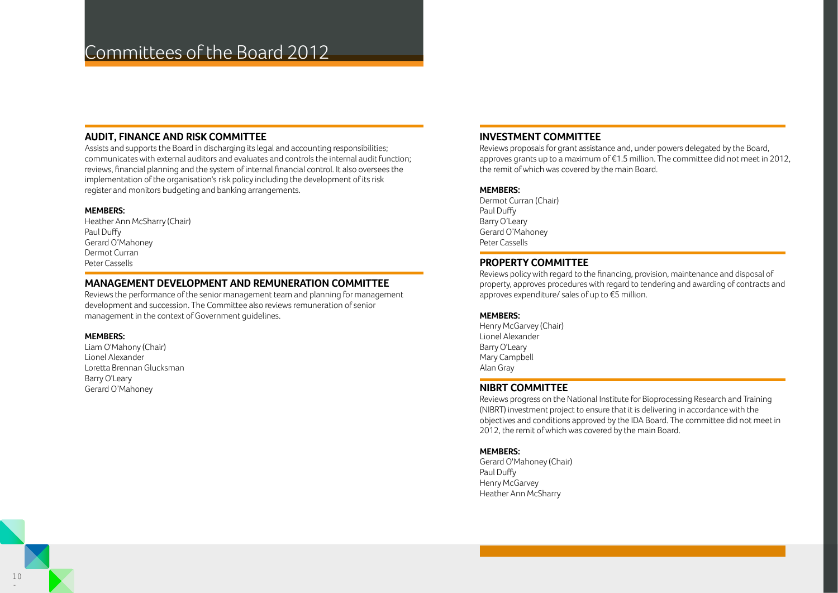### **AUDIT, FINANCE AND RISK COMMITTEE**

Assists and supports the Board in discharging its legal and accounting responsibilities; communicates with external auditors and evaluates and controls the internal audit function; reviews, financial planning and the system of internal financial control. It also oversees the implementation of the organisation's risk policy including the development of its risk register and monitors budgeting and banking arrangements.

### **MEMBERS:**

Heather Ann McSharry (Chair) Paul Duffy Gerard O'Mahoney Dermot Curran Peter Cassells

### **MANAGEMENT DEVELOPMENT AND REMUNERATION COMMITTEE**

Reviews the performance of the senior management team and planning for management development and succession. The Committee also reviews remuneration of senior management in the context of Government guidelines.

### **MEMBERS:**

Liam O'Mahony (Chair) Lionel Alexander Loretta Brennan Glucksman Barry O'Leary Gerard O'Mahoney

### **INVESTMENT COMMITTEE**

Reviews proposals for grant assistance and, under powers delegated by the Board, approves grants up to a maximum of €1.5 million. The committee did not meet in 2012, the remit of which was covered by the main Board.

### **MEMBERS:**

Dermot Curran (Chair) Paul Duffy Barry O'Leary Gerard O'Mahoney Peter Cassells

### **PROPERTY COMMITTEE**

Reviews policy with regard to the financing, provision, maintenance and disposal of property, approves procedures with regard to tendering and awarding of contracts and approves expenditure/ sales of up to €5 million.

### **MEMBERS:**

Henry McGarvey (Chair) Lionel Alexander Barry O'Leary Mary Campbell Alan Gray

### **NIBRT COMMITTEE**

Reviews progress on the National Institute for Bioprocessing Research and Training (NIBRT) investment project to ensure that it is delivering in accordance with the objectives and conditions approved by the IDA Board. The committee did not meet in 2012, the remit of which was covered by the main Board.

### **MEMBERS:**

Gerard O'Mahoney (Chair) Paul Duffy Henry McGarvey Heather Ann McSharry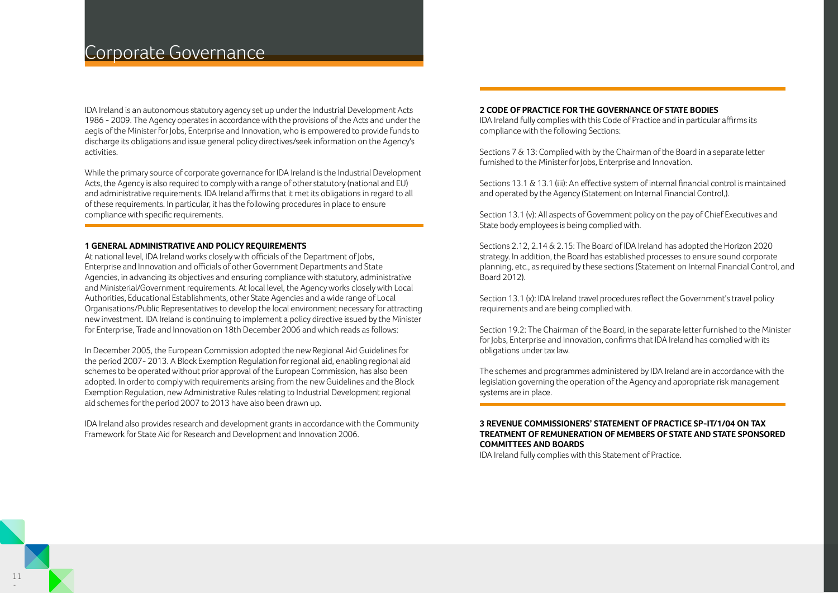## Corporate Governance

IDA Ireland is an autonomous statutory agency set up under the Industrial Development Acts 1986 - 2009. The Agency operates in accordance with the provisions of the Acts and under the aegis of the Minister for Jobs, Enterprise and Innovation, who is empowered to provide funds to discharge its obligations and issue general policy directives/seek information on the Agency's activities.

While the primary source of corporate governance for IDA Ireland is the Industrial Development Acts, the Agency is also required to comply with a range of other statutory (national and EU) and administrative requirements. IDA Ireland affirms that it met its obligations in regard to all of these requirements. In particular, it has the following procedures in place to ensure compliance with specific requirements.

#### **1 GENERAL ADMINISTRATIVE AND POLICY REQUIREMENTS**

At national level, IDA Ireland works closely with officials of the Department of Jobs, Enterprise and Innovation and officials of other Government Departments and State Agencies, in advancing its objectives and ensuring compliance with statutory, administrative and Ministerial/Government requirements. At local level, the Agency works closely with Local Authorities, Educational Establishments, other State Agencies and a wide range of Local Organisations/Public Representatives to develop the local environment necessary for attracting new investment. IDA Ireland is continuing to implement a policy directive issued by the Minister for Enterprise, Trade and Innovation on 18th December 2006 and which reads as follows:

In December 2005, the European Commission adopted the new Regional Aid Guidelines for the period 2007- 2013. A Block Exemption Regulation for regional aid, enabling regional aid schemes to be operated without prior approval of the European Commission, has also been adopted. In order to comply with requirements arising from the new Guidelines and the Block Exemption Regulation, new Administrative Rules relating to Industrial Development regional aid schemes for the period 2007 to 2013 have also been drawn up.

IDA Ireland also provides research and development grants in accordance with the Community Framework for State Aid for Research and Development and Innovation 2006.

#### **2 CODE OF PRACTICE FOR THE GOVERNANCE OF STATE BODIES**

IDA Ireland fully complies with this Code of Practice and in particular affirms its compliance with the following Sections:

Sections 7 & 13: Complied with by the Chairman of the Board in a separate letter furnished to the Minister for Jobs, Enterprise and Innovation.

Sections 13.1 & 13.1 (iii): An effective system of internal financial control is maintained and operated by the Agency (Statement on Internal Financial Control,).

Section 13.1 (v): All aspects of Government policy on the pay of Chief Executives and State body employees is being complied with.

Sections 2.12, 2.14 & 2.15: The Board of IDA Ireland has adopted the Horizon 2020 strategy. In addition, the Board has established processes to ensure sound corporate planning, etc., as required by these sections (Statement on Internal Financial Control, and Board 2012).

Section 13.1 (x): IDA Ireland travel procedures reflect the Government's travel policy requirements and are being complied with.

Section 19.2: The Chairman of the Board, in the separate letter furnished to the Minister for Jobs, Enterprise and Innovation, confirms that IDA Ireland has complied with its obligations under tax law.

The schemes and programmes administered by IDA Ireland are in accordance with the legislation governing the operation of the Agency and appropriate risk management systems are in place.

### **3 REVENUE COMMISSIONERS' STATEMENT OF PRACTICE SP-IT/1/04 ON TAX TREATMENT OF REMUNERATION OF MEMBERS OF STATE AND STATE SPONSORED COMMITTEES AND BOARDS**

IDA Ireland fully complies with this Statement of Practice.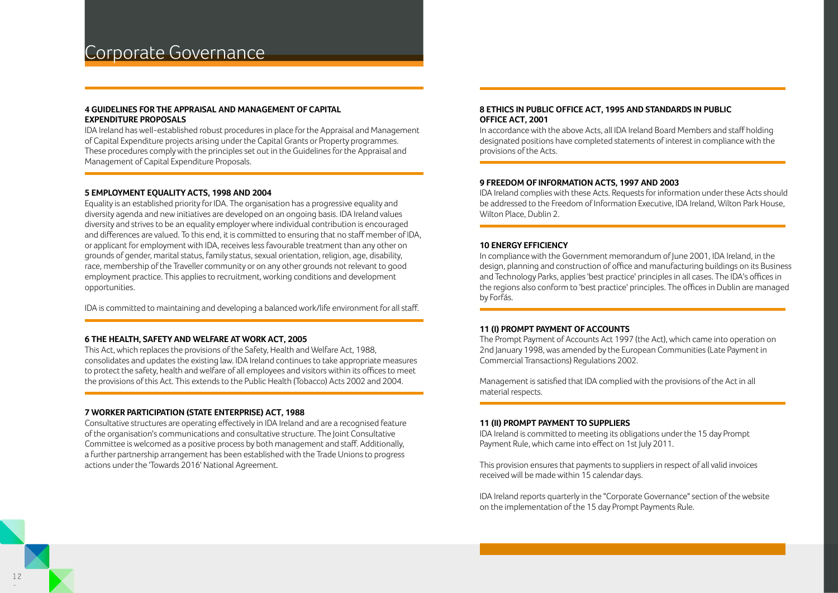### Corporate Governance

### **4 GUIDELINES FOR THE APPRAISAL AND MANAGEMENT OF CAPITAL EXPENDITURE PROPOSALS**

IDA Ireland has well-established robust procedures in place for the Appraisal and Management of Capital Expenditure projects arising under the Capital Grants or Property programmes. These procedures comply with the principles set out in the Guidelines for the Appraisal and Management of Capital Expenditure Proposals.

### **5 EMPLOYMENT EQUALITY ACTS, 1998 AND 2004**

Equality is an established priority for IDA. The organisation has a progressive equality and diversity agenda and new initiatives are developed on an ongoing basis. IDA Ireland values diversity and strives to be an equality employer where individual contribution is encouraged and differences are valued. To this end, it is committed to ensuring that no staff member of IDA, or applicant for employment with IDA, receives less favourable treatment than any other on grounds of gender, marital status, family status, sexual orientation, religion, age, disability, race, membership of the Traveller community or on any other grounds not relevant to good employment practice. This applies to recruitment, working conditions and development opportunities.

IDA is committed to maintaining and developing a balanced work/life environment for all staff.

### **6 THE HEALTH, SAFETY AND WELFARE AT WORK ACT, 2005**

This Act, which replaces the provisions of the Safety, Health and Welfare Act, 1988, consolidates and updates the existing law. IDA Ireland continues to take appropriate measures to protect the safety, health and welfare of all employees and visitors within its offices to meet the provisions of this Act. This extends to the Public Health (Tobacco) Acts 2002 and 2004.

### **7 WORKER PARTICIPATION (STATE ENTERPRISE) ACT, 1988**

Consultative structures are operating effectively in IDA Ireland and are a recognised feature of the organisation's communications and consultative structure. The Joint Consultative Committee is welcomed as a positive process by both management and staff. Additionally, a further partnership arrangement has been established with the Trade Unions to progress actions under the 'Towards 2016' National Agreement.

### **8 ETHICS IN PUBLIC OFFICE ACT, 1995 AND STANDARDS IN PUBLIC OFFICE ACT, 2001**

In accordance with the above Acts, all IDA Ireland Board Members and staff holding designated positions have completed statements of interest in compliance with the provisions of the Acts.

### **9 FREEDOM OF INFORMATION ACTS, 1997 AND 2003**

IDA Ireland complies with these Acts. Requests for information under these Acts should be addressed to the Freedom of Information Executive, IDA Ireland, Wilton Park House, Wilton Place, Dublin 2.

#### **10 ENERGY EFFICIENCY**

In compliance with the Government memorandum of June 2001, IDA Ireland, in the design, planning and construction of office and manufacturing buildings on its Business and Technology Parks, applies 'best practice' principles in all cases. The IDA's offices in the regions also conform to 'best practice' principles. The offices in Dublin are managed by Forfás.

### **11 (I) PROMPT PAYMENT OF ACCOUNTS**

The Prompt Payment of Accounts Act 1997 (the Act), which came into operation on 2nd January 1998, was amended by the European Communities (Late Payment in Commercial Transactions) Regulations 2002.

Management is satisfied that IDA complied with the provisions of the Act in all material respects.

### **11 (II) PROMPT PAYMENT TO SUPPLIERS**

IDA Ireland is committed to meeting its obligations under the 15 day Prompt Payment Rule, which came into effect on 1st July 2011.

This provision ensures that payments to suppliers in respect of all valid invoices received will be made within 15 calendar days.

IDA Ireland reports quarterly in the "Corporate Governance" section of the website on the implementation of the 15 day Prompt Payments Rule.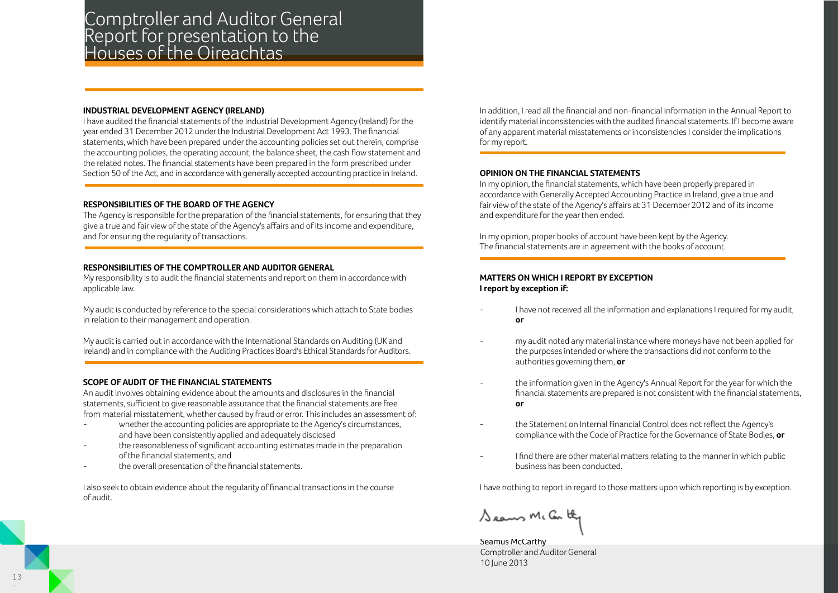### Comptroller and Auditor General Report for presentation to the Houses of the Oireachtas

### **INDUSTRIAL DEVELOPMENT AGENCY (IRELAND)**

I have audited the financial statements of the Industrial Development Agency (Ireland) for the year ended 31 December 2012 under the Industrial Development Act 1993. The financial statements, which have been prepared under the accounting policies set out therein, comprise the accounting policies, the operating account, the balance sheet, the cash flow statement and the related notes. The financial statements have been prepared in the form prescribed under Section 50 of the Act, and in accordance with generally accepted accounting practice in Ireland.

### **RESPONSIBILITIES OF THE BOARD OF THE AGENCY**

The Agency is responsible for the preparation of the financial statements, for ensuring that they give a true and fair view of the state of the Agency's affairs and of its income and expenditure, and for ensuring the regularity of transactions.

### **RESPONSIBILITIES OF THE COMPTROLLER AND AUDITOR GENERAL**

My responsibility is to audit the financial statements and report on them in accordance with applicable law.

My audit is conducted by reference to the special considerations which attach to State bodies in relation to their management and operation.

My audit is carried out in accordance with the International Standards on Auditing (UK and Ireland) and in compliance with the Auditing Practices Board's Ethical Standards for Auditors.

### **SCOPE OF AUDIT OF THE FINANCIAL STATEMENTS**

An audit involves obtaining evidence about the amounts and disclosures in the financial statements, sufficient to give reasonable assurance that the financial statements are free from material misstatement, whether caused by fraud or error. This includes an assessment of:

- whether the accounting policies are appropriate to the Agency's circumstances, and have been consistently applied and adequately disclosed
- the reasonableness of significant accounting estimates made in the preparation of the financial statements, and
- the overall presentation of the financial statements.

I also seek to obtain evidence about the regularity of financial transactions in the course of audit.

In addition, I read all the financial and non-financial information in the Annual Report to identify material inconsistencies with the audited financial statements. If I become aware of any apparent material misstatements or inconsistencies I consider the implications for my report.

### **OPINION ON THE FINANCIAL STATEMENTS**

In my opinion, the financial statements, which have been properly prepared in accordance with Generally Accepted Accounting Practice in Ireland, give a true and fair view of the state of the Agency's affairs at 31 December 2012 and of its income and expenditure for the year then ended.

In my opinion, proper books of account have been kept by the Agency. The financial statements are in agreement with the books of account.

### **MATTERS ON WHICH I REPORT BY EXCEPTION I report by exception if:**

- I have not received all the information and explanations I required for my audit, **or**
- my audit noted any material instance where moneys have not been applied for the purposes intended or where the transactions did not conform to the authorities governing them, **or**
- the information given in the Agency's Annual Report for the year for which the financial statements are prepared is not consistent with the financial statements, **or**
- the Statement on Internal Financial Control does not reflect the Agency's compliance with the Code of Practice for the Governance of State Bodies, **or**
- I find there are other material matters relating to the manner in which public business has been conducted.

I have nothing to report in regard to those matters upon which reporting is by exception.

Seaus Mc Car thy

Seamus McCarthy Comptroller and Auditor General 10 June 2013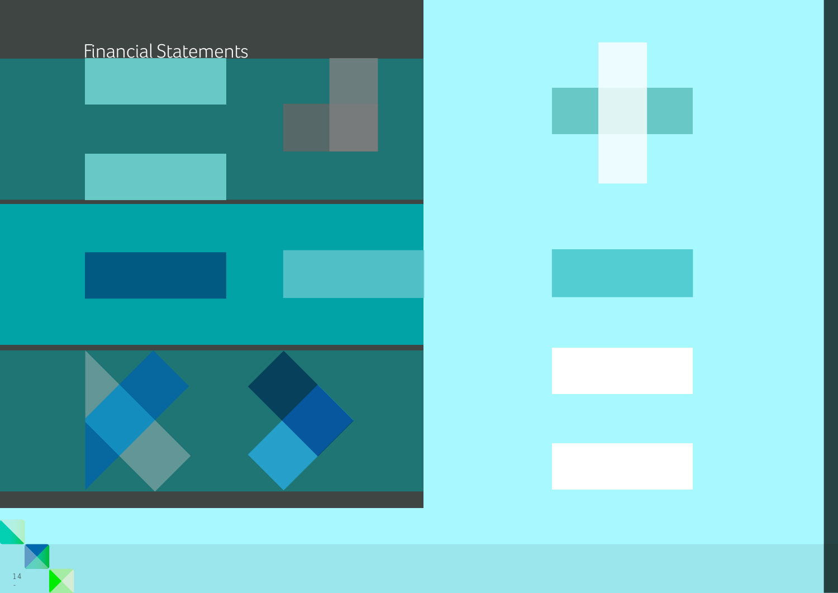

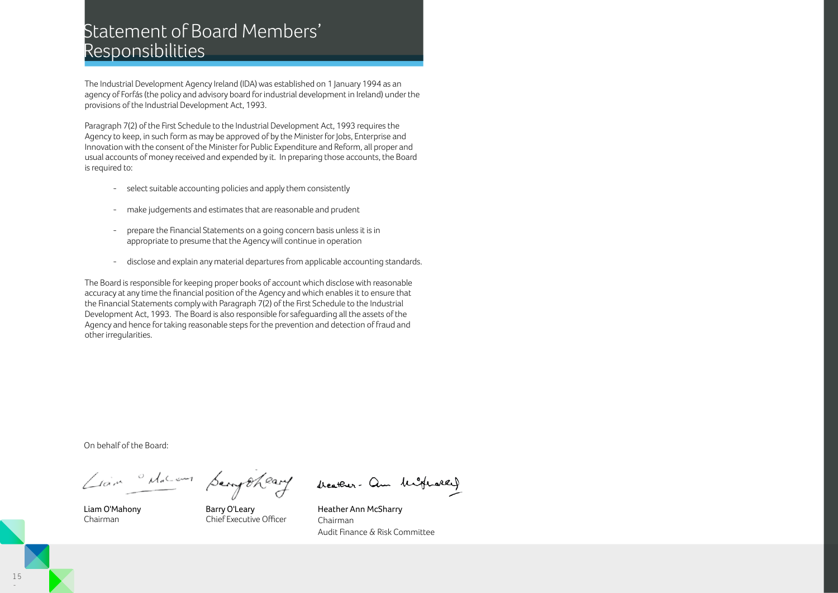# Statement of Board Members' Responsibilities

The Industrial Development Agency Ireland (IDA) was established on 1 January 1994 as an agency of Forfás (the policy and advisory board for industrial development in Ireland) under the provisions of the Industrial Development Act, 1993.

Paragraph 7(2) of the First Schedule to the Industrial Development Act, 1993 requires the Agency to keep, in such form as may be approved of by the Minister for Jobs, Enterprise and Innovation with the consent of the Minister for Public Expenditure and Reform, all proper and usual accounts of money received and expended by it. In preparing those accounts, the Board is required to:

- select suitable accounting policies and apply them consistently
- make judgements and estimates that are reasonable and prudent
- prepare the Financial Statements on a going concern basis unless it is in appropriate to presume that the Agency will continue in operation
- disclose and explain any material departures from applicable accounting standards.

The Board is responsible for keeping proper books of account which disclose with reasonable accuracy at any time the financial position of the Agency and which enables it to ensure that the Financial Statements comply with Paragraph 7(2) of the First Schedule to the Industrial Development Act, 1993. The Board is also responsible for safeguarding all the assets of the Agency and hence for taking reasonable steps for the prevention and detection of fraud and other irregularities.

On behalf of the Board:

Liam "Macam Semptheary

beather- am highward

Liam O'Mahony Chairman

Barry O'Leary Chief Executive Officer

Heather Ann McSharry Chairman Audit Finance & Risk Committee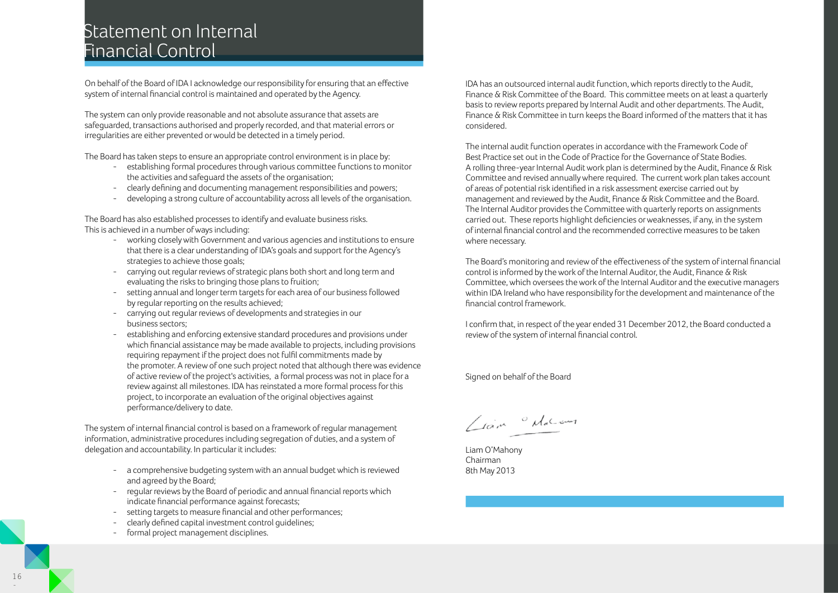# Statement on Internal Financial Control

On behalf of the Board of IDA I acknowledge our responsibility for ensuring that an effective system of internal financial control is maintained and operated by the Agency.

The system can only provide reasonable and not absolute assurance that assets are safeguarded, transactions authorised and properly recorded, and that material errors or irregularities are either prevented or would be detected in a timely period.

The Board has taken steps to ensure an appropriate control environment is in place by:

- establishing formal procedures through various committee functions to monitor the activities and safeguard the assets of the organisation;
- clearly defining and documenting management responsibilities and powers;
- developing a strong culture of accountability across all levels of the organisation.

The Board has also established processes to identify and evaluate business risks. This is achieved in a number of ways including:

- working closely with Government and various agencies and institutions to ensure that there is a clear understanding of IDA's goals and support for the Agency's strategies to achieve those goals;
- carrying out regular reviews of strategic plans both short and long term and evaluating the risks to bringing those plans to fruition;
- setting annual and longer term targets for each area of our business followed by regular reporting on the results achieved;
- carrying out regular reviews of developments and strategies in our business sectors;
- establishing and enforcing extensive standard procedures and provisions under which financial assistance may be made available to projects, including provisions requiring repayment if the project does not fulfil commitments made by the promoter. A review of one such project noted that although there was evidence of active review of the project's activities, a formal process was not in place for a review against all milestones. IDA has reinstated a more formal process for this project, to incorporate an evaluation of the original objectives against performance/delivery to date.

The system of internal financial control is based on a framework of regular management information, administrative procedures including segregation of duties, and a system of delegation and accountability. In particular it includes:

- a comprehensive budgeting system with an annual budget which is reviewed and agreed by the Board;
- regular reviews by the Board of periodic and annual financial reports which indicate financial performance against forecasts;
- setting targets to measure financial and other performances;
- clearly defined capital investment control guidelines;
- formal project management disciplines.

IDA has an outsourced internal audit function, which reports directly to the Audit, Finance & Risk Committee of the Board. This committee meets on at least a quarterly basis to review reports prepared by Internal Audit and other departments. The Audit, Finance & Risk Committee in turn keeps the Board informed of the matters that it has considered.

The internal audit function operates in accordance with the Framework Code of Best Practice set out in the Code of Practice for the Governance of State Bodies. A rolling three-year Internal Audit work plan is determined by the Audit, Finance & Risk Committee and revised annually where required. The current work plan takes account of areas of potential risk identified in a risk assessment exercise carried out by management and reviewed by the Audit, Finance & Risk Committee and the Board. The Internal Auditor provides the Committee with quarterly reports on assignments carried out. These reports highlight deficiencies or weaknesses, if any, in the system of internal financial control and the recommended corrective measures to be taken where necessary.

The Board's monitoring and review of the effectiveness of the system of internal financial control is informed by the work of the Internal Auditor, the Audit, Finance & Risk Committee, which oversees the work of the Internal Auditor and the executive managers within IDA Ireland who have responsibility for the development and maintenance of the financial control framework.

I confirm that, in respect of the year ended 31 December 2012, the Board conducted a review of the system of internal financial control.

Signed on behalf of the Board

Liam delament

Liam O'Mahony Chairman 8th May 2013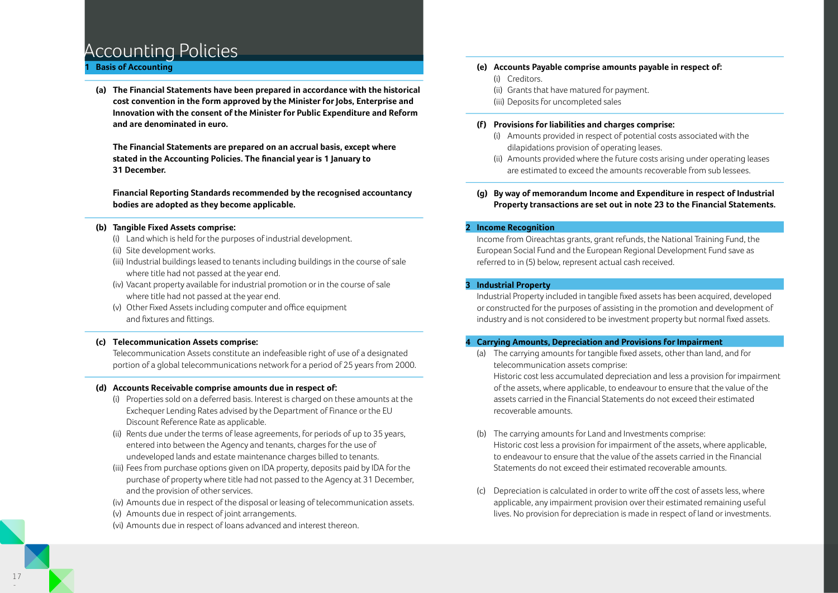## Accounting Policies

### **1 Basis of Accounting**

 **(a) The Financial Statements have been prepared in accordance with the historical cost convention in the form approved by the Minister for Jobs, Enterprise and Innovation with the consent of the Minister for Public Expenditure and Reform and are denominated in euro.**

 **The Financial Statements are prepared on an accrual basis, except where stated in the Accounting Policies. The financial year is 1 January to 31 December.**

 **Financial Reporting Standards recommended by the recognised accountancy bodies are adopted as they become applicable.**

### **(b) Tangible Fixed Assets comprise:**

- (i) Land which is held for the purposes of industrial development.
- (ii) Site development works.
- (iii) Industrial buildings leased to tenants including buildings in the course of sale where title had not passed at the year end.
- (iv) Vacant property available for industrial promotion or in the course of sale where title had not passed at the year end.
- (v) Other Fixed Assets including computer and office equipment and fixtures and fittings.

### **(c) Telecommunication Assets comprise:**

 Telecommunication Assets constitute an indefeasible right of use of a designated portion of a global telecommunications network for a period of 25 years from 2000.

### **(d) Accounts Receivable comprise amounts due in respect of:**

- (i) Properties sold on a deferred basis. Interest is charged on these amounts at the Exchequer Lending Rates advised by the Department of Finance or the EU Discount Reference Rate as applicable.
- (ii) Rents due under the terms of lease agreements, for periods of up to 35 years, entered into between the Agency and tenants, charges for the use of undeveloped lands and estate maintenance charges billed to tenants.
- (iii) Fees from purchase options given on IDA property, deposits paid by IDA for the purchase of property where title had not passed to the Agency at 31 December, and the provision of other services.
- (iv) Amounts due in respect of the disposal or leasing of telecommunication assets.
- (v) Amounts due in respect of joint arrangements.
- (vi) Amounts due in respect of loans advanced and interest thereon.

### **(e) Accounts Payable comprise amounts payable in respect of:**

- (i) Creditors.
- (ii) Grants that have matured for payment.
- (iii) Deposits for uncompleted sales

### **(f) Provisions for liabilities and charges comprise:**

- (i) Amounts provided in respect of potential costs associated with the dilapidations provision of operating leases.
- (ii) Amounts provided where the future costs arising under operating leases are estimated to exceed the amounts recoverable from sub lessees.

### **(g) By way of memorandum Income and Expenditure in respect of Industrial Property transactions are set out in note 23 to the Financial Statements.**

### **2 Income Recognition**

 Income from Oireachtas grants, grant refunds, the National Training Fund, the European Social Fund and the European Regional Development Fund save as referred to in (5) below, represent actual cash received.

### **3 Industrial Property**

 Industrial Property included in tangible fixed assets has been acquired, developed or constructed for the purposes of assisting in the promotion and development of industry and is not considered to be investment property but normal fixed assets.

### **4 Carrying Amounts, Depreciation and Provisions for Impairment**

- (a) The carrying amounts for tangible fixed assets, other than land, and for telecommunication assets comprise: Historic cost less accumulated depreciation and less a provision for impairment of the assets, where applicable, to endeavour to ensure that the value of the assets carried in the Financial Statements do not exceed their estimated recoverable amounts.
	- (b) The carrying amounts for Land and Investments comprise: Historic cost less a provision for impairment of the assets, where applicable, to endeavour to ensure that the value of the assets carried in the Financial Statements do not exceed their estimated recoverable amounts.
	- (c) Depreciation is calculated in order to write off the cost of assets less, where applicable, any impairment provision over their estimated remaining useful lives. No provision for depreciation is made in respect of land or investments.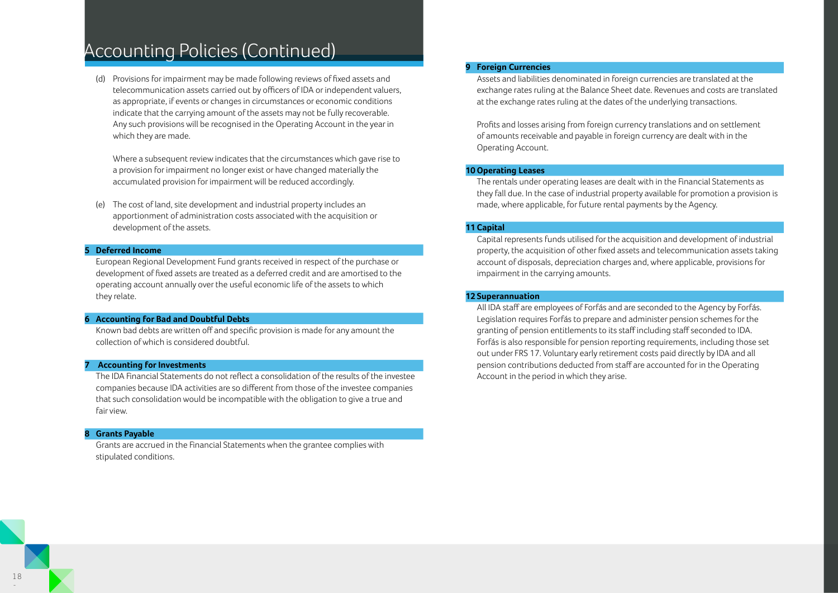# Accounting Policies (Continued)

 (d) Provisions for impairment may be made following reviews of fixed assets and telecommunication assets carried out by officers of IDA or independent valuers, as appropriate, if events or changes in circumstances or economic conditions indicate that the carrying amount of the assets may not be fully recoverable. Any such provisions will be recognised in the Operating Account in the year in which they are made.

 Where a subsequent review indicates that the circumstances which gave rise to a provision for impairment no longer exist or have changed materially the accumulated provision for impairment will be reduced accordingly.

 (e) The cost of land, site development and industrial property includes an apportionment of administration costs associated with the acquisition or development of the assets.

### **5 Deferred Income**

 European Regional Development Fund grants received in respect of the purchase or development of fixed assets are treated as a deferred credit and are amortised to the operating account annually over the useful economic life of the assets to which they relate.

#### **6 Accounting for Bad and Doubtful Debts**

 Known bad debts are written off and specific provision is made for any amount the collection of which is considered doubtful.

### **7 Accounting for Investments**

 The IDA Financial Statements do not reflect a consolidation of the results of the investee companies because IDA activities are so different from those of the investee companies that such consolidation would be incompatible with the obligation to give a true and fair view.

#### *<u>Grants Payable</u>*

 Grants are accrued in the Financial Statements when the grantee complies with stipulated conditions.

### **9 Foreign Currencies**

 Assets and liabilities denominated in foreign currencies are translated at the exchange rates ruling at the Balance Sheet date. Revenues and costs are translated at the exchange rates ruling at the dates of the underlying transactions.

 Profits and losses arising from foreign currency translations and on settlement of amounts receivable and payable in foreign currency are dealt with in the Operating Account.

### **10 Operating Leases**

 The rentals under operating leases are dealt with in the Financial Statements as they fall due. In the case of industrial property available for promotion a provision is made, where applicable, for future rental payments by the Agency.

### **11 Capital**

 Capital represents funds utilised for the acquisition and development of industrial property, the acquisition of other fixed assets and telecommunication assets taking account of disposals, depreciation charges and, where applicable, provisions for impairment in the carrying amounts.

### **12 Superannuation**

 All IDA staff are employees of Forfás and are seconded to the Agency by Forfás. Legislation requires Forfás to prepare and administer pension schemes for the granting of pension entitlements to its staff including staff seconded to IDA. Forfás is also responsible for pension reporting requirements, including those set out under FRS 17. Voluntary early retirement costs paid directly by IDA and all pension contributions deducted from staff are accounted for in the Operating Account in the period in which they arise.

-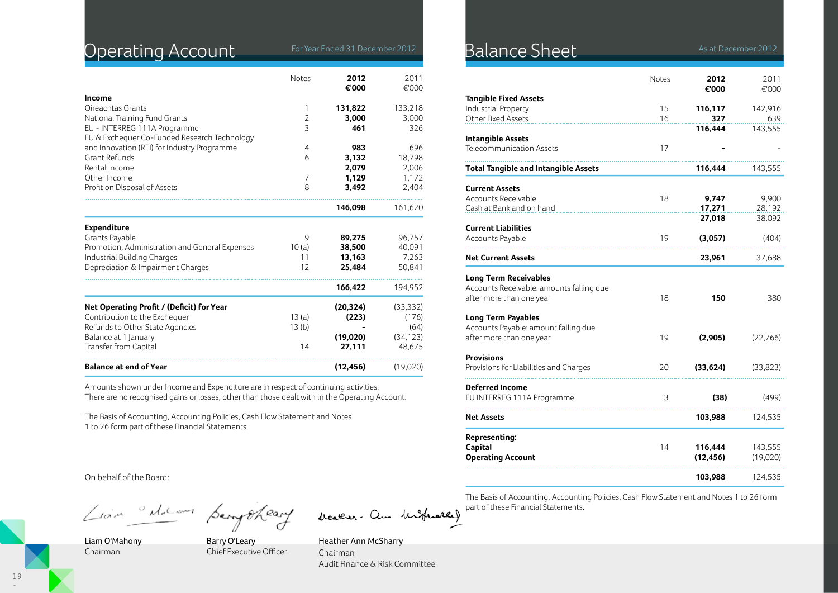# Operating Account For Year Ended 31 December 2012

|                                                                              | <b>Notes</b>   | 2012<br>€'000 | 2011<br>€'000 |
|------------------------------------------------------------------------------|----------------|---------------|---------------|
| Income                                                                       |                |               |               |
| Oireachtas Grants                                                            | 1              | 131,822       | 133,218       |
| National Training Fund Grants                                                | $\overline{2}$ | 3,000         | 3,000         |
| EU - INTERREG 111A Programme<br>EU & Exchequer Co-Funded Research Technology | 3              | 461           | 326           |
| and Innovation (RTI) for Industry Programme                                  | 4              | 983           | 696           |
| Grant Refunds                                                                | 6              | 3,132         | 18,798        |
| Rental Income                                                                |                | 2,079         | 2,006         |
| Other Income                                                                 | 7              | 1,129         | 1,172         |
| Profit on Disposal of Assets                                                 | 8              | 3,492         | 2,404         |
|                                                                              |                | 146,098       | 161,620       |
| <b>Expenditure</b>                                                           |                |               |               |
| Grants Payable                                                               | 9              | 89,275        | 96,757        |
| Promotion, Administration and General Expenses                               | 10(a)          | 38,500        | 40,091        |
| Industrial Building Charges                                                  | 11             | 13,163        | 7,263         |
| Depreciation & Impairment Charges                                            | 12             | 25,484        | 50,841        |
|                                                                              |                | 166,422       | 194,952       |
| Net Operating Profit / (Deficit) for Year                                    |                | (20, 324)     | (33, 332)     |
| Contribution to the Exchequer                                                | 13(a)          | (223)         | (176)         |
| Refunds to Other State Agencies                                              | 13(b)          |               | (64)          |
| Balance at 1 January                                                         |                | (19,020)      | (34, 123)     |
| Transfer from Capital                                                        | 14             | 27,111        | 48,675        |
| <b>Balance at end of Year</b>                                                |                | (12, 456)     | (19,020)      |

Amounts shown under Income and Expenditure are in respect of continuing activities. There are no recognised gains or losses, other than those dealt with in the Operating Account.

The Basis of Accounting, Accounting Policies, Cash Flow Statement and Notes 1 to 26 form part of these Financial Statements.

On behalf of the Board:

Liam delacom pempoheant

beather- am highward

Liam O'Mahony Chairman

Barry O'Leary Chief Executive Officer

Heather Ann McSharry Chairman Audit Finance & Risk Committee

### Balance Sheet **31 As at December 2012**

|                                             | <b>Notes</b> | 2012<br>€'000  | 2011<br>€'000  |
|---------------------------------------------|--------------|----------------|----------------|
| <b>Tangible Fixed Assets</b>                |              |                |                |
| <b>Industrial Property</b>                  | 15           | 116,117        | 142,916        |
| Other Fixed Assets                          | 16           | 327<br>116,444 | 639<br>143,555 |
| <b>Intangible Assets</b>                    |              |                |                |
| Telecommunication Assets                    | 17           |                |                |
| <b>Total Tangible and Intangible Assets</b> |              | 116,444        | 143,555        |
| <b>Current Assets</b>                       |              |                |                |
| Accounts Receivable                         | 18           | 9,747          | 9,900          |
| Cash at Bank and on hand                    |              | 17,271         | 28,192         |
|                                             |              | 27,018         | 38,092         |
| <b>Current Liabilities</b>                  |              |                |                |
| <b>Accounts Payable</b>                     | 19           | (3,057)        | (404)          |
| <b>Net Current Assets</b>                   |              | 23,961         | 37,688         |
| <b>Long Term Receivables</b>                |              |                |                |
| Accounts Receivable: amounts falling due    |              |                |                |
| after more than one year                    | 18           | 150            | 380            |
| <b>Long Term Payables</b>                   |              |                |                |
| Accounts Payable: amount falling due        |              |                |                |
| after more than one year                    | 19           | (2,905)        | (22, 766)      |
| <b>Provisions</b>                           |              |                |                |
| Provisions for Liabilities and Charges      | 20           | (33, 624)      | (33, 823)      |
| <b>Deferred Income</b>                      |              |                |                |
| EU INTERREG 111A Programme                  | 3            | (38)           | (499)          |
| <b>Net Assets</b>                           |              | 103,988        | 124,535        |
| <b>Representing:</b>                        |              |                |                |
| Capital                                     | 14           | 116,444        | 143,555        |
| <b>Operating Account</b>                    |              | (12, 456)      | (19,020)       |
|                                             |              | 103,988        | 124,535        |
|                                             |              |                |                |

The Basis of Accounting, Accounting Policies, Cash Flow Statement and Notes 1 to 26 form part of these Financial Statements.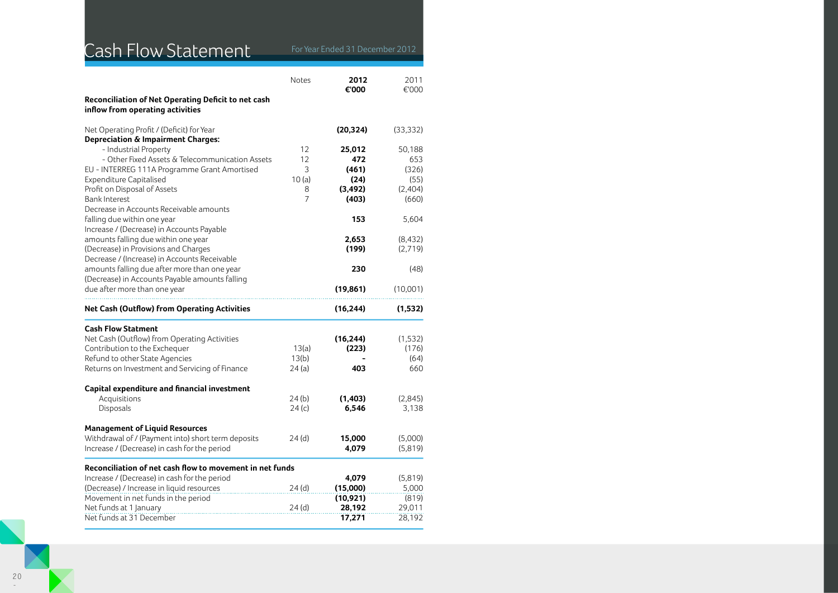# Cash Flow Statement For Year Ended 31 December 2012

|  | r Year Ended 31 December 20 |  |
|--|-----------------------------|--|
|  |                             |  |

|                                                                                              | Notes    | 2012<br>€'000    | 2011<br>€'000    |
|----------------------------------------------------------------------------------------------|----------|------------------|------------------|
| Reconciliation of Net Operating Deficit to net cash<br>inflow from operating activities      |          |                  |                  |
| Net Operating Profit / (Deficit) for Year<br><b>Depreciation &amp; Impairment Charges:</b>   |          | (20, 324)        | (33, 332)        |
| - Industrial Property                                                                        | 12       | 25,012           | 50,188           |
| - Other Fixed Assets & Telecommunication Assets                                              | 12<br>3  | 472<br>(461)     | 653              |
| EU - INTERREG 111A Programme Grant Amortised<br><b>Expenditure Capitalised</b>               | 10(a)    | (24)             | (326)<br>(55)    |
| Profit on Disposal of Assets                                                                 | 8        | (3, 492)         | (2,404)          |
| <b>Bank Interest</b>                                                                         | 7        | (403)            | (660)            |
| Decrease in Accounts Receivable amounts<br>falling due within one year                       |          | 153              | 5,604            |
| Increase / (Decrease) in Accounts Payable                                                    |          |                  |                  |
| amounts falling due within one year                                                          |          | 2,653            | (8, 432)         |
| (Decrease) in Provisions and Charges                                                         |          | (199)            | (2,719)          |
| Decrease / (Increase) in Accounts Receivable<br>amounts falling due after more than one year |          | 230              | (48)             |
| (Decrease) in Accounts Payable amounts falling                                               |          |                  |                  |
| due after more than one year                                                                 |          | (19, 861)        | (10,001)         |
| <b>Net Cash (Outflow) from Operating Activities</b>                                          |          | (16, 244)        | (1,532)          |
|                                                                                              |          |                  |                  |
| <b>Cash Flow Statment</b>                                                                    |          |                  |                  |
| Net Cash (Outflow) from Operating Activities                                                 |          | (16, 244)        | (1, 532)         |
| Contribution to the Exchequer                                                                | 13(a)    | (223)            | (176)            |
| Refund to other State Agencies                                                               | 13(b)    |                  | (64)             |
| Returns on Investment and Servicing of Finance                                               | 24(a)    | 403              | 660              |
| Capital expenditure and financial investment                                                 |          |                  |                  |
| Acquisitions                                                                                 | 24(b)    | (1, 403)         | (2,845)          |
| Disposals                                                                                    | 24(c)    | 6,546            | 3,138            |
| <b>Management of Liquid Resources</b>                                                        |          |                  |                  |
| Withdrawal of / (Payment into) short term deposits                                           | 24(d)    | 15,000           | (5,000)          |
| Increase / (Decrease) in cash for the period                                                 |          | 4,079            | (5,819)          |
| Reconciliation of net cash flow to movement in net funds                                     |          |                  |                  |
| Increase / (Decrease) in cash for the period                                                 |          | 4,079            | (5,819)          |
| (Decrease) / Increase in liquid resources                                                    | 24(d)    | (15,000)         | 5,000            |
| Movement in net funds in the period                                                          |          | (10, 921)        | (819)            |
| Net funds at 1 January<br>Net funds at 31 December                                           | $24$ (d) | 28,192<br>17,271 | 29,011<br>28,192 |

-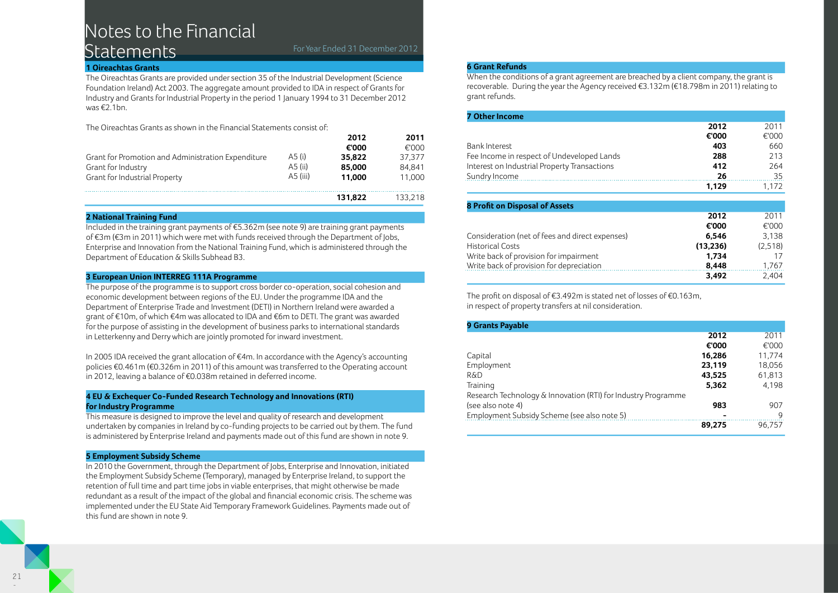# Notes to the Financial Statements For Year Ended 31 December 2012

### **1 Oireachtas Grants**

The Oireachtas Grants are provided under section 35 of the Industrial Development (Science Foundation Ireland) Act 2003. The aggregate amount provided to IDA in respect of Grants for Industry and Grants for Industrial Property in the period 1 January 1994 to 31 December 2012 was €2.1bn.

The Oireachtas Grants as shown in the Financial Statements consist of:

|                                                    |          | 2012    | 2011    |
|----------------------------------------------------|----------|---------|---------|
|                                                    |          | €'000   | €'000   |
| Grant for Promotion and Administration Expenditure | A5 (i)   | 35.822  | 37.377  |
| Grant for Industry                                 | A5 (ii)  | 85,000  | 84.841  |
| Grant for Industrial Property                      | A5 (iii) | 11.000  | 11.000  |
|                                                    |          | 131.822 | 133.218 |

### **2 National Training Fund**

Included in the training grant payments of €5.362m (see note 9) are training grant payments of €3m (€3m in 2011) which were met with funds received through the Department of Jobs, Enterprise and Innovation from the National Training Fund, which is administered through the Department of Education & Skills Subhead B3.

### **3 European Union INTERREG 111A Programme**

The purpose of the programme is to support cross border co-operation, social cohesion and economic development between regions of the EU. Under the programme IDA and the Department of Enterprise Trade and Investment (DETI) in Northern Ireland were awarded a grant of €10m, of which €4m was allocated to IDA and €6m to DETI. The grant was awarded for the purpose of assisting in the development of business parks to international standards in Letterkenny and Derry which are jointly promoted for inward investment.

In 2005 IDA received the grant allocation of €4m. In accordance with the Agency's accounting policies €0.461m (€0.326m in 2011) of this amount was transferred to the Operating account in 2012, leaving a balance of €0.038m retained in deferred income.

### **4 EU & Exchequer Co-Funded Research Technology and Innovations (RTI) for Industry Programme**

This measure is designed to improve the level and quality of research and development undertaken by companies in Ireland by co-funding projects to be carried out by them. The fund is administered by Enterprise Ireland and payments made out of this fund are shown in note 9.

### **5 Employment Subsidy Scheme**

In 2010 the Government, through the Department of Jobs, Enterprise and Innovation, initiated the Employment Subsidy Scheme (Temporary), managed by Enterprise Ireland, to support the retention of full time and part time jobs in viable enterprises, that might otherwise be made redundant as a result of the impact of the global and financial economic crisis. The scheme was implemented under the EU State Aid Temporary Framework Guidelines. Payments made out of this fund are shown in note 9.

### **6 Grant Refunds**

When the conditions of a grant agreement are breached by a client company, the grant is recoverable. During the year the Agency received €3.132m (€18.798m in 2011) relating to grant refunds.

| <b>7 Other Income</b>                        |       |         |
|----------------------------------------------|-------|---------|
|                                              | 2012  | 2011    |
|                                              | €'000 | €'000   |
| Bank Interest                                | 403   | 660     |
| Fee Income in respect of Undeveloped Lands   | 288   | 213     |
| Interest on Industrial Property Transactions | 412   | 264     |
| Sundry Income                                | 26    | 35      |
|                                              | 1.129 | 1 1 7 2 |

| <b>8 Profit on Disposal of Assets</b>           |           |         |
|-------------------------------------------------|-----------|---------|
|                                                 | 2012      | 2011    |
|                                                 | €'000     | €'000   |
| Consideration (net of fees and direct expenses) | 6.546     | 3.138   |
| <b>Historical Costs</b>                         | (13, 236) | (2,518) |
| Write back of provision for impairment          | 1.734     | 17      |
| Write back of provision for depreciation        | 8,448     | 1,767   |
|                                                 | 3.492     | 2.404   |

The profit on disposal of €3.492m is stated net of losses of €0.163m, in respect of property transfers at nil consideration.

| <b>9 Grants Payable</b>                                       |        |        |
|---------------------------------------------------------------|--------|--------|
|                                                               | 2012   | 2011   |
|                                                               | €'000  | €'000  |
| Capital                                                       | 16,286 | 11.774 |
| Employment                                                    | 23,119 | 18,056 |
| R&D                                                           | 43,525 | 61,813 |
| Training                                                      | 5,362  | 4,198  |
| Research Technology & Innovation (RTI) for Industry Programme |        |        |
| (see also note 4)                                             | 983    | 907    |
| Employment Subsidy Scheme (see also note 5)                   |        | Q      |
|                                                               | 89.275 | 96.757 |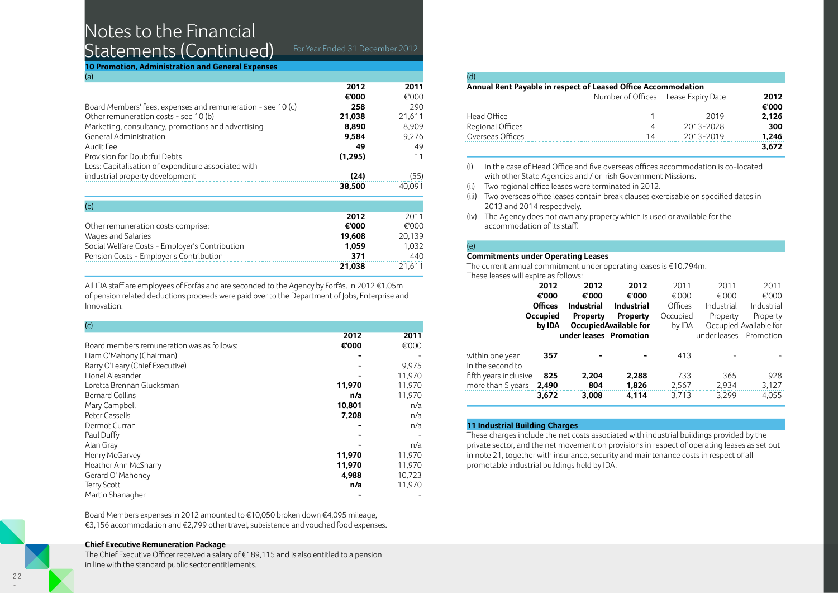# Notes to the Financial Statements (Continued) For Year Ended 31 December 2012

**10 Promotion, Administration and General Expenses**  (a)

|         | 2011   |
|---------|--------|
| €'000   | €'000  |
| 258     | 290    |
| 21,038  | 21,611 |
| 8,890   | 8,909  |
| 9.584   | 9.276  |
| 49      | 49     |
| (1,295) | 11     |
|         |        |
| (24)    | (55)   |
| 38,500  | 40.091 |
|         | 2012   |

| (b)                                            |        |        |
|------------------------------------------------|--------|--------|
|                                                | 2012   | 2011   |
| Other remuneration costs comprise:             | €'000  | €'000  |
| Wages and Salaries                             | 19.608 | 20,139 |
| Social Welfare Costs - Employer's Contribution | 1.059  | 1.032  |
| Pension Costs - Employer's Contribution        | 371    | 440    |
|                                                | 21,038 | 21.611 |

All IDA staff are employees of Forfás and are seconded to the Agency by Forfás. In 2012 €1.05m of pension related deductions proceeds were paid over to the Department of Jobs, Enterprise and Innovation.

| (c)                                        |        |        |
|--------------------------------------------|--------|--------|
|                                            | 2012   | 2011   |
| Board members remuneration was as follows: | €'000  | €'000  |
| Liam O'Mahony (Chairman)                   |        |        |
| Barry O'Leary (Chief Executive)            |        | 9,975  |
| Lionel Alexander                           |        | 11,970 |
| Loretta Brennan Glucksman                  | 11,970 | 11,970 |
| <b>Bernard Collins</b>                     | n/a    | 11,970 |
| Mary Campbell                              | 10,801 | n/a    |
| Peter Cassells                             | 7,208  | n/a    |
| Dermot Curran                              |        | n/a    |
| Paul Duffy                                 |        |        |
| Alan Gray                                  |        | n/a    |
| Henry McGarvey                             | 11,970 | 11,970 |
| Heather Ann McSharry                       | 11,970 | 11,970 |
| Gerard O' Mahoney                          | 4,988  | 10,723 |
| <b>Terry Scott</b>                         | n/a    | 11,970 |
| Martin Shanagher                           |        |        |

Board Members expenses in 2012 amounted to €10,050 broken down €4,095 mileage, €3,156 accommodation and €2,799 other travel, subsistence and vouched food expenses.

### **Chief Executive Remuneration Package**

The Chief Executive Officer received a salary of €189,115 and is also entitled to a pension in line with the standard public sector entitlements.

| (d)                                                           |  |
|---------------------------------------------------------------|--|
| Annual Rent Payable in respect of Leased Office Accommodation |  |

|                  | Number of Offices Lease Expiry Date |           | 2012  |
|------------------|-------------------------------------|-----------|-------|
|                  |                                     |           | €'000 |
| Head Office      |                                     | 2019      | 2,126 |
| Regional Offices | 4                                   | 2013-2028 | 300   |
| Overseas Offices | 14                                  | 2013-2019 | 1,246 |
|                  |                                     |           | 3.672 |

- (i) In the case of Head Office and five overseas offices accommodation is co-located with other State Agencies and / or Irish Government Missions.
- (ii) Two regional office leases were terminated in 2012.
- (iii) Two overseas office leases contain break clauses exercisable on specified dates in 2013 and 2014 respectively.
- (iv) The Agency does not own any property which is used or available for the accommodation of its staff.

### (e) **Commitments under Operating Leases**

The current annual commitment under operating leases is €10.794m.

These leases will expire as follows:

|                       | 2012            | 2012                   | 2012                         | 2011     | 2011         | 2011                   |
|-----------------------|-----------------|------------------------|------------------------------|----------|--------------|------------------------|
|                       | €'000           | €'000                  | €'000                        | €'000    | €'000        | €'000                  |
|                       | <b>Offices</b>  | <b>Industrial</b>      | <b>Industrial</b>            | Offices  | Industrial   | Industrial             |
|                       | <b>Occupied</b> | Property               | Property                     | Occupied | Property     | Property               |
|                       | by IDA          |                        | <b>OccupiedAvailable for</b> | by IDA   |              | Occupied Available for |
|                       |                 | under leases Promotion |                              |          | under leases | Promotion              |
|                       |                 |                        |                              |          |              |                        |
| within one year       | 357             |                        |                              | 413      |              |                        |
| in the second to      |                 |                        |                              |          |              |                        |
| fifth years inclusive | 825             | 2.204                  | 2,288                        | 733      | 365          | 928                    |
| more than 5 years     | 2,490           | 804                    | 1,826                        | 2,567    | 2,934        | 3,127                  |
|                       | 3,672           | 3,008                  | 4,114                        | 3,713    | 3,299        | 4,055                  |
|                       |                 |                        |                              |          |              |                        |

### **11 Industrial Building Charges**

These charges include the net costs associated with industrial buildings provided by the private sector, and the net movement on provisions in respect of operating leases as set out in note 21, together with insurance, security and maintenance costs in respect of all promotable industrial buildings held by IDA.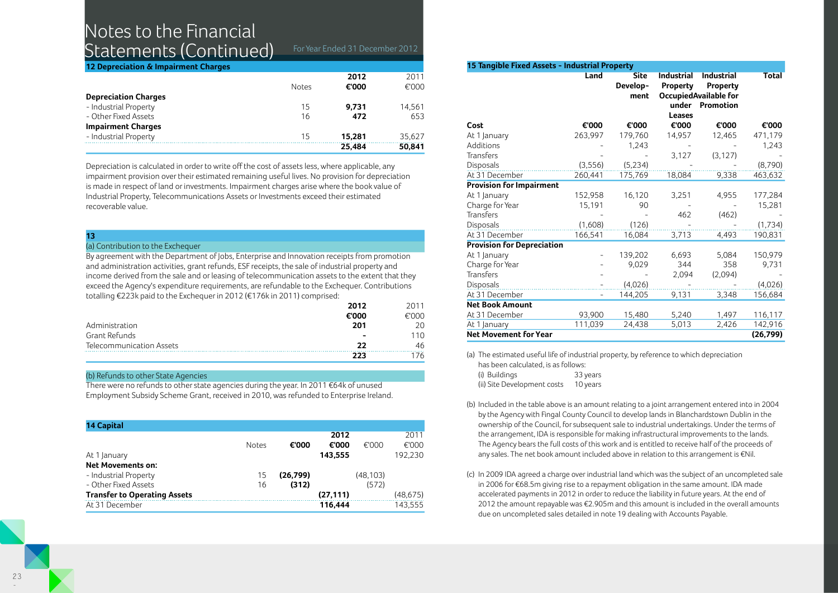# Notes to the Financial Statements (Continued) For Year Ended 31 December 2012

**12 Depreciation & Impairment Charges** 

|                             | <b>Notes</b> | 2012<br>€'000 | 2011<br>€'000 |
|-----------------------------|--------------|---------------|---------------|
|                             |              |               |               |
| <b>Depreciation Charges</b> |              |               |               |
| - Industrial Property       | 15           | 9.731         | 14,561        |
| - Other Fixed Assets        | 16           | 472           | 653           |
| <b>Impairment Charges</b>   |              |               |               |
| - Industrial Property       | 15           | 15.281        | 35.627        |
|                             |              | 25,484        | 50,841        |
|                             |              |               |               |

Depreciation is calculated in order to write off the cost of assets less, where applicable, any impairment provision over their estimated remaining useful lives. No provision for depreciation is made in respect of land or investments. Impairment charges arise where the book value of Industrial Property, Telecommunications Assets or Investments exceed their estimated recoverable value.

### **13**

### (a) Contribution to the Exchequer

By agreement with the Department of Jobs, Enterprise and Innovation receipts from promotion and administration activities, grant refunds, ESF receipts, the sale of industrial property and income derived from the sale and or leasing of telecommunication assets to the extent that they exceed the Agency's expenditure requirements, are refundable to the Exchequer. Contributions totalling €223k paid to the Exchequer in 2012 (€176k in 2011) comprised:

|                          | 2012  | 2011  |
|--------------------------|-------|-------|
|                          | €'000 | €'000 |
| Administration           | 201   | 20    |
| Grant Refunds            | -     | 110   |
| Telecommunication Assets | つつ    | 46    |
|                          | 223   | 176   |

### (b) Refunds to other State Agencies

There were no refunds to other state agencies during the year. In 2011 €64k of unused Employment Subsidy Scheme Grant, received in 2010, was refunded to Enterprise Ireland.

| <b>14 Capital</b>                   |              |          |           |          |           |
|-------------------------------------|--------------|----------|-----------|----------|-----------|
|                                     |              |          | 2012      |          | 2011      |
|                                     | <b>Notes</b> | €'000    | €'000     | €'000    | €'000     |
| At 1 January                        |              |          | 143,555   |          | 192,230   |
| <b>Net Movements on:</b>            |              |          |           |          |           |
| - Industrial Property               | 15           | (26,799) |           | (48,103) |           |
| - Other Fixed Assets                | 16           | (312)    |           | (572)    |           |
| <b>Transfer to Operating Assets</b> |              |          | (27, 111) |          | (48, 675) |
| At 31 December                      |              |          | 116.444   |          | 143.555   |

| 15 Tangible Fixed Assets - Industrial Property |                          |                                 |                                                         |                                                                            |              |
|------------------------------------------------|--------------------------|---------------------------------|---------------------------------------------------------|----------------------------------------------------------------------------|--------------|
|                                                | Land                     | <b>Site</b><br>Develop-<br>ment | <b>Industrial</b><br><b>Property</b><br>under<br>Leases | <b>Industrial</b><br>Property<br><b>OccupiedAvailable for</b><br>Promotion | <b>Total</b> |
| Cost                                           | €'000                    | €'000                           | €'000                                                   | €'000                                                                      | €'000        |
| At 1 January                                   | 263,997                  | 179,760                         | 14,957                                                  | 12,465                                                                     | 471,179      |
| Additions                                      |                          | 1,243                           |                                                         |                                                                            | 1,243        |
| Transfers                                      |                          |                                 | 3,127                                                   | (3, 127)                                                                   |              |
| Disposals                                      | (3, 556)                 | (5,234)                         |                                                         |                                                                            | (8,790)      |
| At 31 December                                 | 260,441                  | 175,769                         | 18,084                                                  | 9,338                                                                      | 463,632      |
| <b>Provision for Impairment</b>                |                          |                                 |                                                         |                                                                            |              |
| At 1 January                                   | 152,958                  | 16,120                          | 3,251                                                   | 4,955                                                                      | 177,284      |
| Charge for Year                                | 15,191                   | 90                              |                                                         |                                                                            | 15,281       |
| <b>Transfers</b>                               |                          |                                 | 462                                                     | (462)                                                                      |              |
| Disposals                                      | (1,608)                  | (126)                           |                                                         |                                                                            | (1,734)      |
| At 31 December                                 | 166,541                  | 16,084                          | 3,713                                                   | 4,493                                                                      | 190,831      |
| <b>Provision for Depreciation</b>              |                          |                                 |                                                         |                                                                            |              |
| At 1 January                                   |                          | 139,202                         | 6,693                                                   | 5,084                                                                      | 150,979      |
| Charge for Year                                |                          | 9,029                           | 344                                                     | 358                                                                        | 9,731        |
| Transfers                                      |                          |                                 | 2,094                                                   | (2,094)                                                                    |              |
| Disposals                                      |                          | (4,026)                         |                                                         |                                                                            | (4,026)      |
| At 31 December                                 | $\overline{\phantom{0}}$ | 144,205                         | 9,131                                                   | 3,348                                                                      | 156,684      |
| <b>Net Book Amount</b>                         |                          |                                 |                                                         |                                                                            |              |
| At 31 December                                 | 93,900                   | 15,480                          | 5,240                                                   | 1,497                                                                      | 116,117      |
| At 1 January                                   | 111,039                  | 24,438                          | 5,013                                                   | 2,426                                                                      | 142,916      |
| <b>Net Movement for Year</b>                   |                          |                                 |                                                         |                                                                            | (26, 799)    |

(a) The estimated useful life of industrial property, by reference to which depreciation

| has been calculated, is as follows: |          |  |  |  |
|-------------------------------------|----------|--|--|--|
| (i) Buildings                       | 33 years |  |  |  |
| (ii) Site Development costs         | 10 years |  |  |  |

- (b) Included in the table above is an amount relating to a joint arrangement entered into in 2004 by the Agency with Fingal County Council to develop lands in Blanchardstown Dublin in the ownership of the Council, for subsequent sale to industrial undertakings. Under the terms of the arrangement, IDA is responsible for making infrastructural improvements to the lands. The Agency bears the full costs of this work and is entitled to receive half of the proceeds of any sales. The net book amount included above in relation to this arrangement is €Nil.
- (c) In 2009 IDA agreed a charge over industrial land which was the subject of an uncompleted sale in 2006 for €68.5m giving rise to a repayment obligation in the same amount. IDA made accelerated payments in 2012 in order to reduce the liability in future years. At the end of 2012 the amount repayable was €2.905m and this amount is included in the overall amounts due on uncompleted sales detailed in note 19 dealing with Accounts Payable.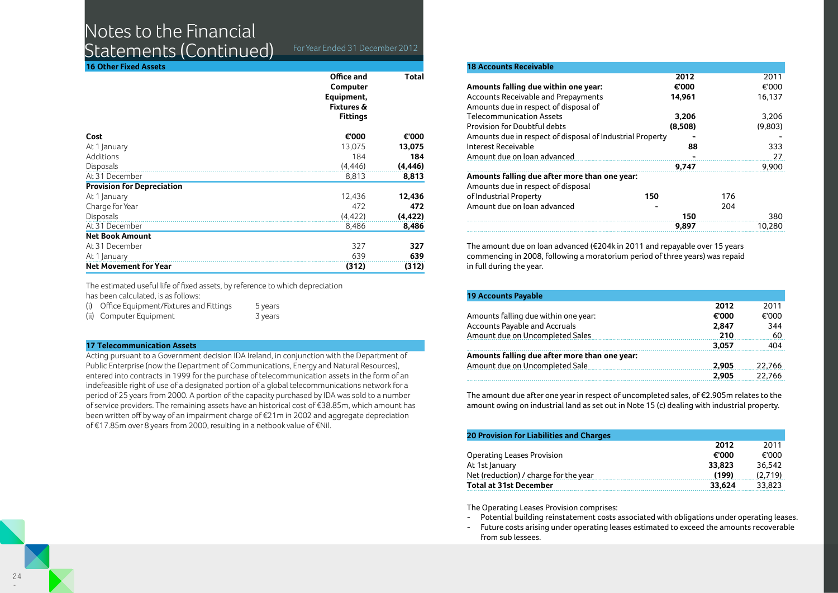# Notes to the Financial

Statements (Continued) For Year Ended 31 December 2012

| <b>16 Other Fixed Assets</b>      |                                                                                  |          |
|-----------------------------------|----------------------------------------------------------------------------------|----------|
|                                   | Office and<br>Computer<br>Equipment,<br><b>Fixtures &amp;</b><br><b>Fittings</b> | Total    |
| Cost                              | €'000                                                                            | €'000    |
| At 1 January                      | 13,075                                                                           | 13,075   |
| Additions                         | 184                                                                              | 184      |
| Disposals                         | (4, 446)                                                                         | (4, 446) |
| At 31 December                    | 8,813                                                                            | 8,813    |
| <b>Provision for Depreciation</b> |                                                                                  |          |
| At 1 January                      | 12,436                                                                           | 12,436   |
| Charge for Year                   | 472                                                                              | 472      |
| <b>Disposals</b>                  | (4, 422)                                                                         | (4, 422) |
| At 31 December                    | 8,486                                                                            | 8,486    |
| <b>Net Book Amount</b>            |                                                                                  |          |
| At 31 December                    | 327                                                                              | 327      |
| At 1 January                      | 639                                                                              | 639      |
| <b>Net Movement for Year</b>      | (312)                                                                            | (312)    |

The estimated useful life of fixed assets, by reference to which depreciation

has been calculated, is as follows:

| (i) | Office Equipment/Fixtures and Fittings | 5 years |
|-----|----------------------------------------|---------|
|     | (ii) Computer Equipment                | 3 years |

### **17 Telecommunication Assets**

Acting pursuant to a Government decision IDA Ireland, in conjunction with the Department of Public Enterprise (now the Department of Communications, Energy and Natural Resources), entered into contracts in 1999 for the purchase of telecommunication assets in the form of an indefeasible right of use of a designated portion of a global telecommunications network for a period of 25 years from 2000. A portion of the capacity purchased by IDA was sold to a number of service providers. The remaining assets have an historical cost of €38.85m, which amount has been written off by way of an impairment charge of €21m in 2002 and aggregate depreciation of €17.85m over 8 years from 2000, resulting in a netbook value of €Nil.

| <b>18 Accounts Receivable</b>                             |         |     |         |
|-----------------------------------------------------------|---------|-----|---------|
|                                                           | 2012    |     | 2011    |
| Amounts falling due within one year:                      | €'000   |     | €'000   |
| Accounts Receivable and Prepayments                       | 14.961  |     | 16,137  |
| Amounts due in respect of disposal of                     |         |     |         |
| <b>Telecommunication Assets</b>                           | 3,206   |     | 3,206   |
| Provision for Doubtful debts                              | (8.508) |     | (9,803) |
| Amounts due in respect of disposal of Industrial Property |         |     |         |
| Interest Receivable                                       | 88      |     | 333     |
| Amount due on loan advanced                               |         |     | 27      |
|                                                           | 9.747   |     | 9,900   |
| Amounts falling due after more than one year:             |         |     |         |
| Amounts due in respect of disposal                        |         |     |         |
| of Industrial Property                                    | 150     | 176 |         |
| Amount due on loan advanced                               |         | 204 |         |
|                                                           | 150     |     | 380     |
|                                                           | 9,897   |     | 10,280  |
|                                                           |         |     |         |

The amount due on loan advanced (€204k in 2011 and repayable over 15 years commencing in 2008, following a moratorium period of three years) was repaid in full during the year.

| <b>19 Accounts Payable</b>                    |       |        |
|-----------------------------------------------|-------|--------|
|                                               | 2012  | 2011   |
| Amounts falling due within one year:          | €'000 | €'000  |
| <b>Accounts Payable and Accruals</b>          | 2.847 | 344    |
| Amount due on Uncompleted Sales               | 210   | 60     |
|                                               | 3,057 | 404    |
| Amounts falling due after more than one year: |       |        |
| Amount due on Uncompleted Sale                | 2.905 | 22.766 |
|                                               | 2.905 | 22,766 |

The amount due after one year in respect of uncompleted sales, of €2.905m relates to the amount owing on industrial land as set out in Note 15 (c) dealing with industrial property.

| <b>20 Provision for Liabilities and Charges</b> |        |         |
|-------------------------------------------------|--------|---------|
|                                                 | 2012   | 2011    |
| Operating Leases Provision                      | €'000  | €'000   |
| At 1st January                                  | 33,823 | 36.542  |
| Net (reduction) / charge for the year           | (199)  | (2.719) |
| <b>Total at 31st December</b>                   | 33.624 | 33.823  |

The Operating Leases Provision comprises:

- Potential building reinstatement costs associated with obligations under operating leases.
- Future costs arising under operating leases estimated to exceed the amounts recoverable from sub lessees.

-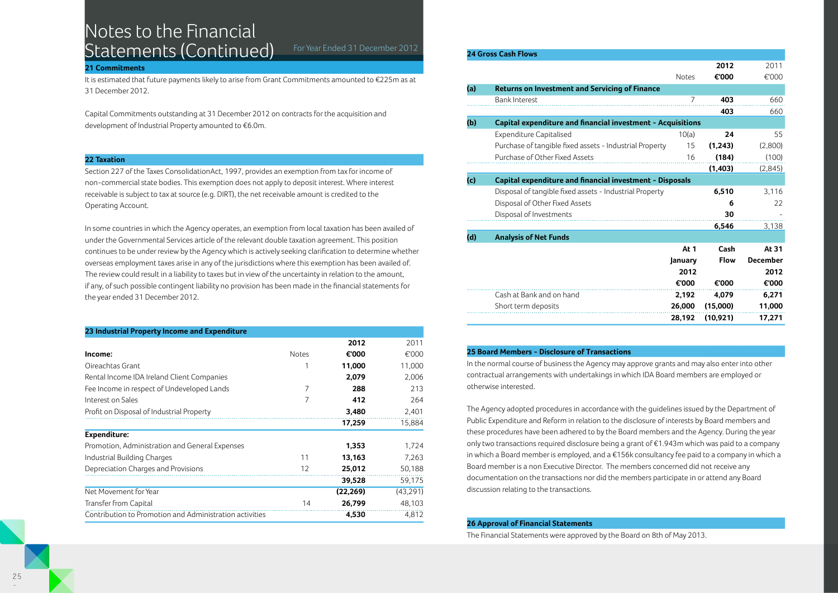# Notes to the Financial Statements (Continued) For Year Ended 31 December 2012

#### **21 Commitments**

It is estimated that future payments likely to arise from Grant Commitments amounted to €225m as at 31 December 2012.

Capital Commitments outstanding at 31 December 2012 on contracts for the acquisition and development of Industrial Property amounted to €6.0m.

#### **22 Taxation**

Section 227 of the Taxes ConsolidationAct, 1997, provides an exemption from tax for income of non-commercial state bodies. This exemption does not apply to deposit interest. Where interest receivable is subject to tax at source (e.g. DIRT), the net receivable amount is credited to the Operating Account.

In some countries in which the Agency operates, an exemption from local taxation has been availed of under the Governmental Services article of the relevant double taxation agreement. This position continues to be under review by the Agency which is actively seeking clarification to determine whether overseas employment taxes arise in any of the jurisdictions where this exemption has been availed of. The review could result in a liability to taxes but in view of the uncertainty in relation to the amount, if any, of such possible contingent liability no provision has been made in the financial statements for the year ended 31 December 2012.

#### **23 Industrial Property Income and Expenditure**

|                                                         |              | 2012      | 2011      |
|---------------------------------------------------------|--------------|-----------|-----------|
| Income:                                                 | <b>Notes</b> | €'000     | €'000     |
| Oireachtas Grant                                        |              | 11,000    | 11,000    |
| Rental Income IDA Ireland Client Companies              |              | 2,079     | 2,006     |
| Fee Income in respect of Undeveloped Lands              | 7            | 288       | 213       |
| Interest on Sales                                       | 7            | 412       | 264       |
| Profit on Disposal of Industrial Property               |              | 3,480     | 2,401     |
|                                                         |              | 17,259    | 15,884    |
| Expenditure:                                            |              |           |           |
| Promotion, Administration and General Expenses          |              | 1,353     | 1.724     |
| Industrial Building Charges                             | 11           | 13,163    | 7,263     |
| Depreciation Charges and Provisions                     | 12           | 25,012    | 50,188    |
|                                                         |              | 39,528    | 59,175    |
| Net Movement for Year                                   |              | (22, 269) | (43, 291) |
| Transfer from Capital                                   | 14           | 26,799    | 48,103    |
| Contribution to Promotion and Administration activities |              | 4,530     | 4.812     |

|     | <b>24 Gross Cash Flows</b>                                      |              |             |                 |  |  |
|-----|-----------------------------------------------------------------|--------------|-------------|-----------------|--|--|
|     |                                                                 |              | 2012        | 2011            |  |  |
|     |                                                                 | <b>Notes</b> | €'000       | €'000           |  |  |
| (a) | <b>Returns on Investment and Servicing of Finance</b>           |              |             |                 |  |  |
|     | <b>Bank Interest</b>                                            | 7            | 403         | 660             |  |  |
|     |                                                                 |              | 403         | 660             |  |  |
| (b) | Capital expenditure and financial investment - Acquisitions     |              |             |                 |  |  |
|     | <b>Expenditure Capitalised</b>                                  | 10(a)        | 24          | 55              |  |  |
|     | Purchase of tangible fixed assets - Industrial Property         | 15           | (1, 243)    | (2,800)         |  |  |
|     | Purchase of Other Fixed Assets                                  | 16           | (184)       | (100)           |  |  |
|     |                                                                 |              | (1, 403)    | (2,845)         |  |  |
| (c) | <b>Capital expenditure and financial investment - Disposals</b> |              |             |                 |  |  |
|     | Disposal of tangible fixed assets - Industrial Property         |              | 6,510       | 3,116           |  |  |
|     | Disposal of Other Fixed Assets                                  |              | 6           | 22              |  |  |
|     | Disposal of Investments                                         |              | 30          |                 |  |  |
|     |                                                                 |              | 6,546       | 3,138           |  |  |
| (d) | <b>Analysis of Net Funds</b>                                    |              |             |                 |  |  |
|     |                                                                 | At 1         | Cash        | At 31           |  |  |
|     |                                                                 | January      | <b>Flow</b> | <b>December</b> |  |  |
|     |                                                                 | 2012         |             | 2012            |  |  |
|     |                                                                 | €'000        | €'000       | €'000           |  |  |
|     | Cash at Bank and on hand                                        | 2,192        | 4,079       | 6,271           |  |  |
|     | Short term deposits                                             | 26,000       | (15,000)    | 11,000          |  |  |
|     |                                                                 | 28,192       | (10, 921)   | 17,271          |  |  |

### **25 Board Members - Disclosure of Transactions**

In the normal course of business the Agency may approve grants and may also enter into other contractual arrangements with undertakings in which IDA Board members are employed or otherwise interested.

The Agency adopted procedures in accordance with the guidelines issued by the Department of Public Expenditure and Reform in relation to the disclosure of interests by Board members and these procedures have been adhered to by the Board members and the Agency. During the year only two transactions required disclosure being a grant of €1.943m which was paid to a company in which a Board member is employed, and a €156k consultancy fee paid to a company in which a Board member is a non Executive Director. The members concerned did not receive any documentation on the transactions nor did the members participate in or attend any Board discussion relating to the transactions.

### **26 Approval of Financial Statements**

The Financial Statements were approved by the Board on 8th of May 2013.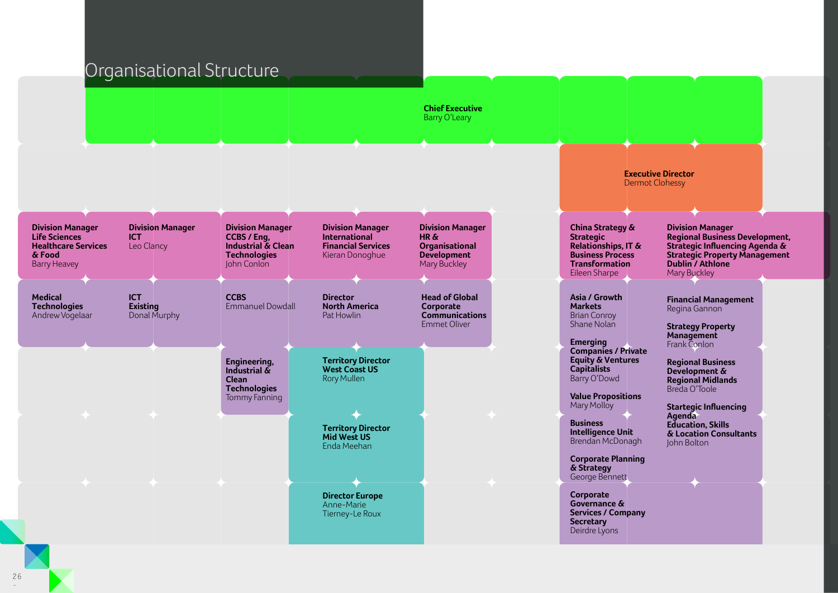